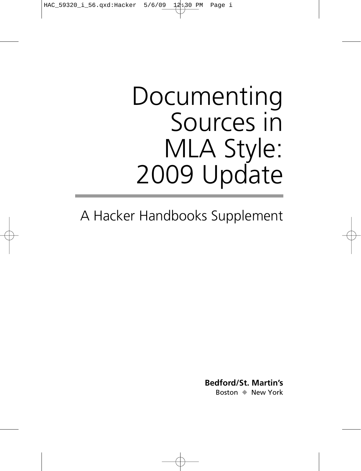# Documenting Sources in MLA Style: 2009 Update

## A Hacker Handbooks Supplement

**Bedford/St. Martin's** Boston ◆ New York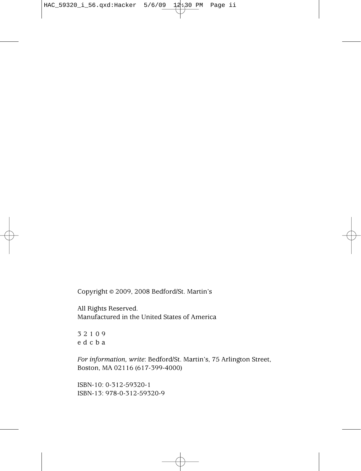Copyright © 2009, 2008 Bedford/St. Martin's

All Rights Reserved. Manufactured in the United States of America

32109 edcba

*For information, write*: Bedford/St. Martin's, 75 Arlington Street, Boston, MA 02116 (617-399-4000)

ISBN-10: 0-312-59320-1 ISBN-13: 978-0-312-59320-9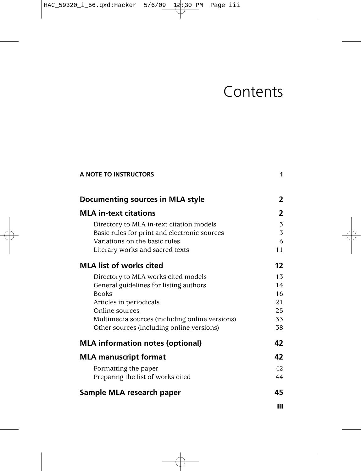# Contents

| A NOTE TO INSTRUCTORS                                                                                                                                        | 1                 |
|--------------------------------------------------------------------------------------------------------------------------------------------------------------|-------------------|
| <b>Documenting sources in MLA style</b>                                                                                                                      | 2                 |
| <b>MLA</b> in-text citations                                                                                                                                 | 2                 |
| Directory to MLA in-text citation models<br>Basic rules for print and electronic sources<br>Variations on the basic rules<br>Literary works and sacred texts | 3<br>3<br>6<br>11 |
| <b>MLA list of works cited</b>                                                                                                                               | 12                |
| Directory to MLA works cited models                                                                                                                          | 13                |
| General guidelines for listing authors                                                                                                                       | 14                |
| <b>Books</b>                                                                                                                                                 | 16                |
| Articles in periodicals                                                                                                                                      | 21                |
| Online sources                                                                                                                                               | 25                |
| Multimedia sources (including online versions)                                                                                                               | 33                |
| Other sources (including online versions)                                                                                                                    | 38                |
| <b>MLA</b> information notes (optional)                                                                                                                      | 42                |
| <b>MLA manuscript format</b>                                                                                                                                 | 42                |
| Formatting the paper                                                                                                                                         | 42                |
| Preparing the list of works cited                                                                                                                            | 44                |
| Sample MLA research paper                                                                                                                                    | 45                |
|                                                                                                                                                              | iii               |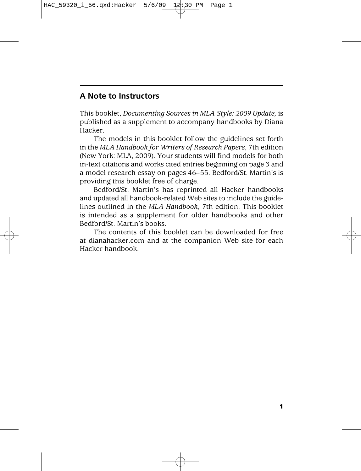### **A Note to Instructors**

This booklet, *Documenting Sources in MLA Style: 2009 Update,* is published as a supplement to accompany handbooks by Diana Hacker.

The models in this booklet follow the guidelines set forth in the *MLA Handbook for Writers of Research Papers*, 7th edition (New York: MLA, 2009). Your students will find models for both in-text citations and works cited entries beginning on page 3 and a model research essay on pages 46–55. Bedford/St. Martin's is providing this booklet free of charge.

Bedford/St. Martin's has reprinted all Hacker handbooks and updated all handbook-related Web sites to include the guidelines outlined in the *MLA Handbook*, 7th edition. This booklet is intended as a supplement for older handbooks and other Bedford/St. Martin's books.

The contents of this booklet can be downloaded for free at dianahacker.com and at the companion Web site for each Hacker handbook.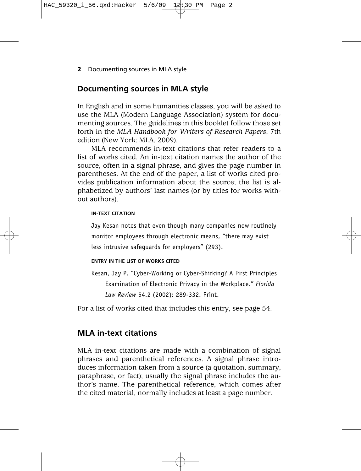**2** Documenting sources in MLA style

### **Documenting sources in MLA style**

In English and in some humanities classes, you will be asked to use the MLA (Modern Language Association) system for documenting sources. The guidelines in this booklet follow those set forth in the *MLA Handbook for Writers of Research Papers*, 7th edition (New York: MLA, 2009).

MLA recommends in-text citations that refer readers to a list of works cited. An in-text citation names the author of the source, often in a signal phrase, and gives the page number in parentheses. At the end of the paper, a list of works cited provides publication information about the source; the list is alphabetized by authors' last names (or by titles for works without authors).

### **IN-TEXT CITATION**

Jay Kesan notes that even though many companies now routinely monitor employees through electronic means, "there may exist less intrusive safeguards for employers" (293).

### **ENTRY IN THE LIST OF WORKS CITED**

Kesan, Jay P. "Cyber-Working or Cyber-Shirking? A First Principles Examination of Electronic Privacy in the Workplace." *Florida Law Review* 54.2 (2002): 289-332. Print.

For a list of works cited that includes this entry, see page 54.

### **MLA in-text citations**

MLA in-text citations are made with a combination of signal phrases and parenthetical references. A signal phrase introduces information taken from a source (a quotation, summary, paraphrase, or fact); usually the signal phrase includes the author's name. The parenthetical reference, which comes after the cited material, normally includes at least a page number.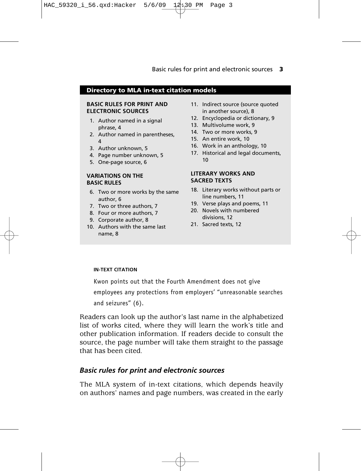### **Directory to MLA in-text citation models**

#### **BASIC RULES FOR PRINT AND ELECTRONIC SOURCES**

- 1. Author named in a signal phrase, 4
- 2. Author named in parentheses, 4
- 3. Author unknown, 5
- 4. Page number unknown, 5
- 5. One-page source, 6

#### **VARIATIONS ON THE BASIC RULES**

- 6. Two or more works by the same author, 6
- 7. Two or three authors, 7
- 8. Four or more authors, 7
- 9. Corporate author, 8
- 10. Authors with the same last name, 8
- 11. Indirect source (source quoted in another source), 8
- 12. Encyclopedia or dictionary, 9
- 13. Multivolume work, 9
- 14. Two or more works, 9
- 15. An entire work, 10
- 16. Work in an anthology, 10
- 17. Historical and legal documents, 10

#### **LITERARY WORKS AND SACRED TEXTS**

- 18. Literary works without parts or line numbers, 11
- 19. Verse plays and poems, 11
- 20. Novels with numbered divisions, 12
- 21. Sacred texts, 12

### **IN-TEXT CITATION**

Kwon points out that the Fourth Amendment does not give employees any protections from employers' "unreasonable searches and seizures" (6).

Readers can look up the author's last name in the alphabetized list of works cited, where they will learn the work's title and other publication information. If readers decide to consult the source, the page number will take them straight to the passage that has been cited.

### *Basic rules for print and electronic sources*

The MLA system of in-text citations, which depends heavily on authors' names and page numbers, was created in the early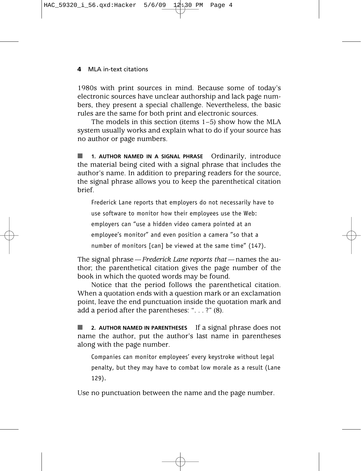### **4** MLA in-text citations

1980s with print sources in mind. Because some of today's electronic sources have unclear authorship and lack page numbers, they present a special challenge. Nevertheless, the basic rules are the same for both print and electronic sources.

The models in this section (items 1–5) show how the MLA system usually works and explain what to do if your source has no author or page numbers.

■ **1. AUTHOR NAMED IN A SIGNAL PHRASE** Ordinarily, introduce the material being cited with a signal phrase that includes the author's name. In addition to preparing readers for the source, the signal phrase allows you to keep the parenthetical citation brief.

Frederick Lane reports that employers do not necessarily have to use software to monitor how their employees use the Web: employers can "use a hidden video camera pointed at an employee's monitor" and even position a camera "so that a number of monitors [can] be viewed at the same time" (147).

The signal phrase—*Frederick Lane reports that*—names the author; the parenthetical citation gives the page number of the book in which the quoted words may be found.

Notice that the period follows the parenthetical citation. When a quotation ends with a question mark or an exclamation point, leave the end punctuation inside the quotation mark and add a period after the parentheses: ". . . ?" (8).

2. AUTHOR NAMED IN PARENTHESES If a signal phrase does not name the author, put the author's last name in parentheses along with the page number.

Companies can monitor employees' every keystroke without legal penalty, but they may have to combat low morale as a result (Lane 129).

Use no punctuation between the name and the page number.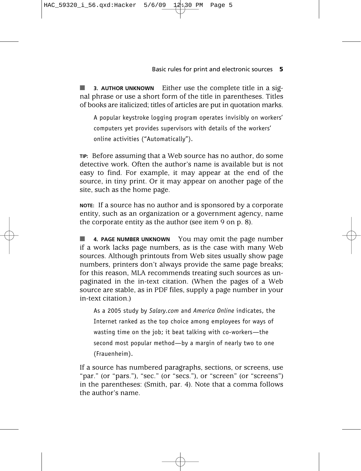■ **3. AUTHOR UNKNOWN** Either use the complete title in a signal phrase or use a short form of the title in parentheses. Titles of books are italicized; titles of articles are put in quotation marks.

A popular keystroke logging program operates invisibly on workers' computers yet provides supervisors with details of the workers' online activities ("Automatically").

**TIP:** Before assuming that a Web source has no author, do some detective work. Often the author's name is available but is not easy to find. For example, it may appear at the end of the source, in tiny print. Or it may appear on another page of the site, such as the home page.

**NOTE:** If a source has no author and is sponsored by a corporate entity, such as an organization or a government agency, name the corporate entity as the author (see item 9 on p. 8).

■ **4. PAGE NUMBER UNKNOWN** You may omit the page number if a work lacks page numbers, as is the case with many Web sources. Although printouts from Web sites usually show page numbers, printers don't always provide the same page breaks; for this reason, MLA recommends treating such sources as unpaginated in the in-text citation. (When the pages of a Web source are stable, as in PDF files, supply a page number in your in-text citation.)

As a 2005 study by *Salary.com* and *America Online* indicates, the Internet ranked as the top choice among employees for ways of wasting time on the job; it beat talking with co-workers—the second most popular method—by a margin of nearly two to one (Frauenheim).

If a source has numbered paragraphs, sections, or screens, use "par." (or "pars."), "sec." (or "secs."), or "screen" (or "screens") in the parentheses: (Smith, par. 4). Note that a comma follows the author's name.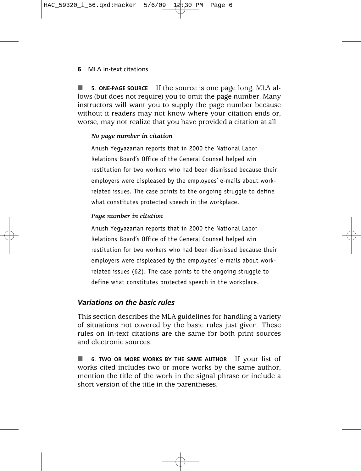### **6** MLA in-text citations

**5. ONE-PAGE SOURCE** If the source is one page long, MLA allows (but does not require) you to omit the page number. Many instructors will want you to supply the page number because without it readers may not know where your citation ends or, worse, may not realize that you have provided a citation at all.

### *No page number in citation*

Anush Yegyazarian reports that in 2000 the National Labor Relations Board's Office of the General Counsel helped win restitution for two workers who had been dismissed because their employers were displeased by the employees' e-mails about workrelated issues. The case points to the ongoing struggle to define what constitutes protected speech in the workplace.

### *Page number in citation*

Anush Yegyazarian reports that in 2000 the National Labor Relations Board's Office of the General Counsel helped win restitution for two workers who had been dismissed because their employers were displeased by the employees' e-mails about workrelated issues (62). The case points to the ongoing struggle to define what constitutes protected speech in the workplace.

### *Variations on the basic rules*

This section describes the MLA guidelines for handling a variety of situations not covered by the basic rules just given. These rules on in-text citations are the same for both print sources and electronic sources.

6. TWO OR MORE WORKS BY THE SAME AUTHOR If your list of works cited includes two or more works by the same author, mention the title of the work in the signal phrase or include a short version of the title in the parentheses.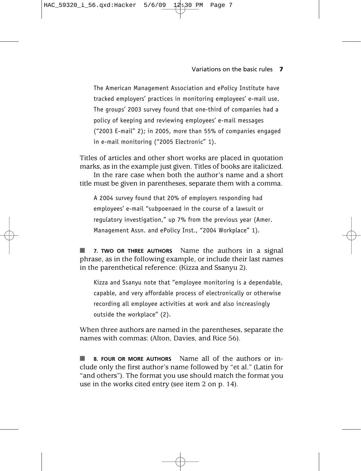The American Management Association and ePolicy Institute have tracked employers' practices in monitoring employees' e-mail use. The groups' 2003 survey found that one-third of companies had a policy of keeping and reviewing employees' e-mail messages ("2003 E-mail" 2); in 2005, more than 55% of companies engaged in e-mail monitoring ("2005 Electronic" 1).

Titles of articles and other short works are placed in quotation marks, as in the example just given. Titles of books are italicized. In the rare case when both the author's name and a short title must be given in parentheses, separate them with a comma.

A 2004 survey found that 20% of employers responding had employees' e-mail "subpoenaed in the course of a lawsuit or regulatory investigation," up 7% from the previous year (Amer. Management Assn. and ePolicy Inst., "2004 Workplace" 1).

7. TWO OR THREE AUTHORS Name the authors in a signal phrase, as in the following example, or include their last names in the parenthetical reference: (Kizza and Ssanyu 2).

Kizza and Ssanyu note that "employee monitoring is a dependable, capable, and very affordable process of electronically or otherwise recording all employee activities at work and also increasingly outside the workplace" (2).

When three authors are named in the parentheses, separate the names with commas: (Alton, Davies, and Rice 56).

■ **8. FOUR OR MORE AUTHORS** Name all of the authors or include only the first author's name followed by "et al." (Latin for "and others"). The format you use should match the format you use in the works cited entry (see item 2 on p. 14).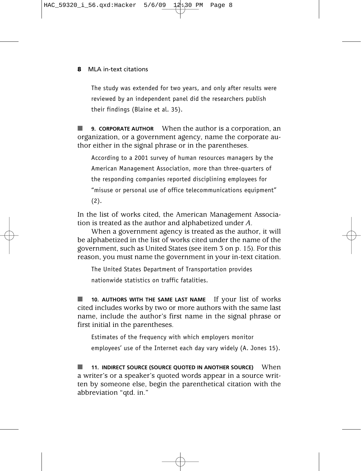### **8** MLA in-text citations

The study was extended for two years, and only after results were reviewed by an independent panel did the researchers publish their findings (Blaine et al. 35).

9. CORPORATE AUTHOR When the author is a corporation, an organization, or a government agency, name the corporate author either in the signal phrase or in the parentheses.

According to a 2001 survey of human resources managers by the American Management Association, more than three-quarters of the responding companies reported disciplining employees for "misuse or personal use of office telecommunications equipment" (2).

In the list of works cited, the American Management Association is treated as the author and alphabetized under *A*.

When a government agency is treated as the author, it will be alphabetized in the list of works cited under the name of the government, such as United States (see item 3 on p. 15). For this reason, you must name the government in your in-text citation.

The United States Department of Transportation provides

nationwide statistics on traffic fatalities.

10. AUTHORS WITH THE SAME LAST NAME If your list of works cited includes works by two or more authors with the same last name, include the author's first name in the signal phrase or first initial in the parentheses.

Estimates of the frequency with which employers monitor

employees' use of the Internet each day vary widely (A. Jones 15).

11. **INDIRECT SOURCE (SOURCE QUOTED IN ANOTHER SOURCE)** When a writer's or a speaker's quoted words appear in a source written by someone else, begin the parenthetical citation with the abbreviation "qtd. in."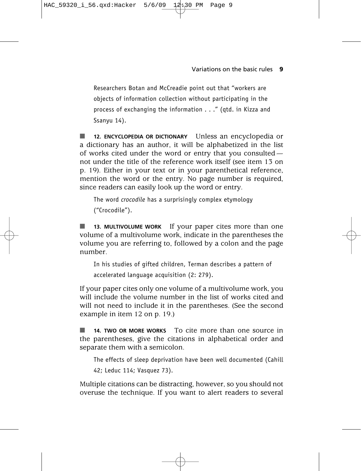Researchers Botan and McCreadie point out that "workers are objects of information collection without participating in the process of exchanging the information . . ." (qtd. in Kizza and Ssanyu 14).

12. **ENCYCLOPEDIA OR DICTIONARY** Unless an encyclopedia or a dictionary has an author, it will be alphabetized in the list of works cited under the word or entry that you consulted not under the title of the reference work itself (see item 13 on p. 19). Either in your text or in your parenthetical reference, mention the word or the entry. No page number is required, since readers can easily look up the word or entry.

The word *crocodile* has a surprisingly complex etymology ("Crocodile").

**13. MULTIVOLUME WORK** If your paper cites more than one volume of a multivolume work, indicate in the parentheses the volume you are referring to, followed by a colon and the page number.

In his studies of gifted children, Terman describes a pattern of accelerated language acquisition (2: 279).

If your paper cites only one volume of a multivolume work, you will include the volume number in the list of works cited and will not need to include it in the parentheses. (See the second example in item 12 on p. 19.)

■ **14. TWO OR MORE WORKS** To cite more than one source in the parentheses, give the citations in alphabetical order and separate them with a semicolon.

The effects of sleep deprivation have been well documented (Cahill 42; Leduc 114; Vasquez 73).

Multiple citations can be distracting, however, so you should not overuse the technique. If you want to alert readers to several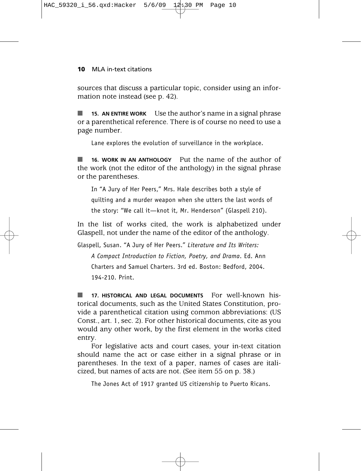### **10** MLA in-text citations

sources that discuss a particular topic, consider using an information note instead (see p. 42).

**15. AN ENTIRE WORK** Use the author's name in a signal phrase or a parenthetical reference. There is of course no need to use a page number.

Lane explores the evolution of surveillance in the workplace.

**16. WORK IN AN ANTHOLOGY** Put the name of the author of the work (not the editor of the anthology) in the signal phrase or the parentheses.

In "A Jury of Her Peers," Mrs. Hale describes both a style of quilting and a murder weapon when she utters the last words of the story: "We call it—knot it, Mr. Henderson" (Glaspell 210).

In the list of works cited, the work is alphabetized under Glaspell, not under the name of the editor of the anthology.

Glaspell, Susan. "A Jury of Her Peers." *Literature and Its Writers: A Compact Introduction to Fiction, Poetry, and Drama*. Ed. Ann Charters and Samuel Charters. 3rd ed. Boston: Bedford, 2004. 194-210. Print.

17. HISTORICAL AND LEGAL DOCUMENTS For well-known historical documents, such as the United States Constitution, provide a parenthetical citation using common abbreviations: (US Const., art. 1, sec. 2). For other historical documents, cite as you would any other work, by the first element in the works cited entry.

For legislative acts and court cases, your in-text citation should name the act or case either in a signal phrase or in parentheses. In the text of a paper, names of cases are italicized, but names of acts are not. (See item 55 on p. 38.)

The Jones Act of 1917 granted US citizenship to Puerto Ricans.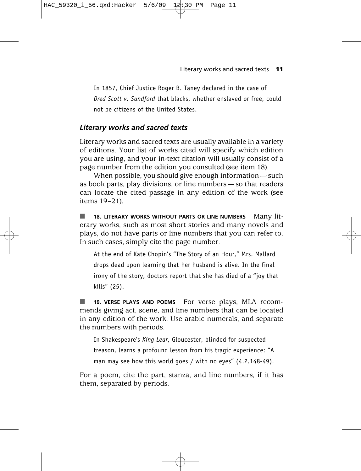In 1857, Chief Justice Roger B. Taney declared in the case of *Dred Scott v. Sandford* that blacks, whether enslaved or free, could not be citizens of the United States.

### *Literary works and sacred texts*

Literary works and sacred texts are usually available in a variety of editions. Your list of works cited will specify which edition you are using, and your in-text citation will usually consist of a page number from the edition you consulted (see item 18).

When possible, you should give enough information — such as book parts, play divisions, or line numbers — so that readers can locate the cited passage in any edition of the work (see items 19–21).

18. LITERARY WORKS WITHOUT PARTS OR LINE NUMBERS Many literary works, such as most short stories and many novels and plays, do not have parts or line numbers that you can refer to. In such cases, simply cite the page number.

At the end of Kate Chopin's "The Story of an Hour," Mrs. Mallard drops dead upon learning that her husband is alive. In the final irony of the story, doctors report that she has died of a "joy that kills" (25).

19. VERSE PLAYS AND POEMS For verse plays, MLA recommends giving act, scene, and line numbers that can be located in any edition of the work. Use arabic numerals, and separate the numbers with periods.

In Shakespeare's *King Lear*, Gloucester, blinded for suspected treason, learns a profound lesson from his tragic experience: "A man may see how this world goes / with no eyes" (4.2.148-49).

For a poem, cite the part, stanza, and line numbers, if it has them, separated by periods.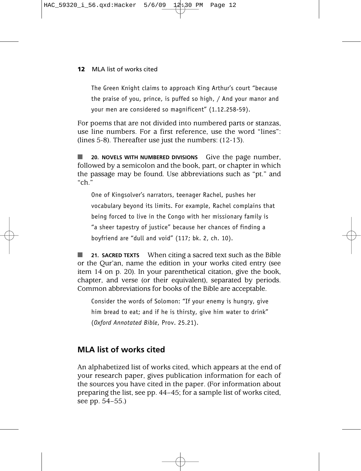### **12** MLA list of works cited

The Green Knight claims to approach King Arthur's court "because the praise of you, prince, is puffed so high, / And your manor and your men are considered so magnificent" (1.12.258-59).

For poems that are not divided into numbered parts or stanzas, use line numbers. For a first reference, use the word "lines": (lines 5-8). Thereafter use just the numbers: (12-13).

20. NOVELS WITH NUMBERED DIVISIONS Give the page number, followed by a semicolon and the book, part, or chapter in which the passage may be found. Use abbreviations such as "pt." and "ch."

One of Kingsolver's narrators, teenager Rachel, pushes her vocabulary beyond its limits. For example, Rachel complains that being forced to live in the Congo with her missionary family is "a sheer tapestry of justice" because her chances of finding a boyfriend are "dull and void" (117; bk. 2, ch. 10).

**21. SACRED TEXTS** When citing a sacred text such as the Bible or the Qur'an, name the edition in your works cited entry (see item 14 on p. 20). In your parenthetical citation, give the book, chapter, and verse (or their equivalent), separated by periods. Common abbreviations for books of the Bible are acceptable.

Consider the words of Solomon: "If your enemy is hungry, give him bread to eat; and if he is thirsty, give him water to drink" (*Oxford Annotated Bible*, Prov. 25.21).

### **MLA list of works cited**

An alphabetized list of works cited, which appears at the end of your research paper, gives publication information for each of the sources you have cited in the paper. (For information about preparing the list, see pp. 44–45; for a sample list of works cited, see pp. 54–55.)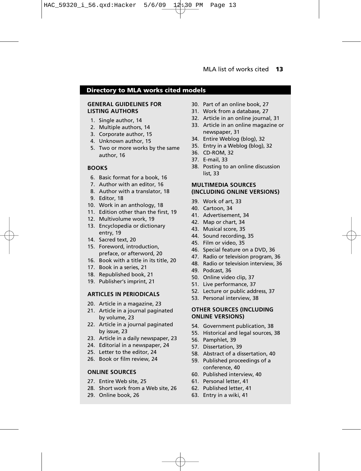### **Directory to MLA works cited models**

#### **GENERAL GUIDELINES FOR LISTING AUTHORS**

- 1. Single author, 14
- 2. Multiple authors, 14
- 3. Corporate author, 15
- 4. Unknown author, 15
- 5. Two or more works by the same author, 16

#### **BOOKS**

- 6. Basic format for a book, 16
- 7. Author with an editor, 16
- 8. Author with a translator, 18
- 9. Editor, 18
- 10. Work in an anthology, 18
- 11. Edition other than the first, 19
- 12. Multivolume work, 19
- 13. Encyclopedia or dictionary entry, 19
- 14. Sacred text, 20
- 15. Foreword, introduction, preface, or afterword, 20
- 16. Book with a title in its title, 20
- 17. Book in a series, 21
- 18. Republished book, 21
- 19. Publisher's imprint, 21

### **ARTICLES IN PERIODICALS**

- 20. Article in a magazine, 23
- 21. Article in a journal paginated by volume, 23
- 22. Article in a journal paginated by issue, 23
- 23. Article in a daily newspaper, 23
- 24. Editorial in a newspaper, 24
- 25. Letter to the editor, 24
- 26. Book or film review, 24

#### **ONLINE SOURCES**

- 27. Entire Web site, 25
- 28. Short work from a Web site, 26
- 29. Online book, 26
- 30. Part of an online book, 27
- 31. Work from a database*,* 27
- 32. Article in an online journal, 31
- 33. Article in an online magazine or newspaper, 31
- 34. Entire Weblog (blog), 32
- 35. Entry in a Weblog (blog), 32
- 36. CD-ROM, 32
- 37. E-mail, 33
- 38. Posting to an online discussion list, 33

#### **MULTIMEDIA SOURCES (INCLUDING ONLINE VERSIONS)**

- 39. Work of art, 33
- 40. Cartoon, 34
- 41. Advertisement, 34
- 42. Map or chart, 34
- 43. Musical score, 35
- 44. Sound recording, 35
- 45. Film or video, 35
- 46. Special feature on a DVD, 36
- 47. Radio or television program, 36
- 48. Radio or television interview, 36
- 49. Podcast, 36
- 50. Online video clip, 37
- 51. Live performance, 37
- 52. Lecture or public address, 37
- 53. Personal interview, 38

#### **OTHER SOURCES (INCLUDING ONLINE VERSIONS)**

- 54. Government publication, 38
- 55. Historical and legal sources, 38
- 56. Pamphlet, 39
- 57. Dissertation, 39
- 58. Abstract of a dissertation, 40
- 59. Published proceedings of a conference, 40
- 60. Published interview, 40
- 61. Personal letter, 41
- 62. Published letter, 41
- 63. Entry in a wiki, 41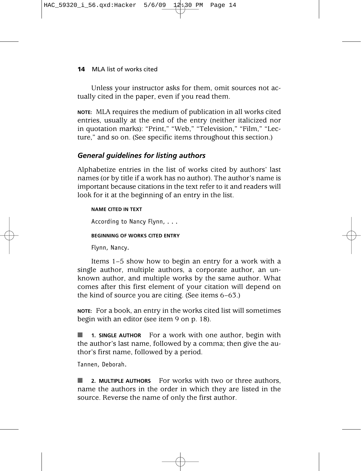**14** MLA list of works cited

Unless your instructor asks for them, omit sources not actually cited in the paper, even if you read them.

**NOTE:** MLA requires the medium of publication in all works cited entries, usually at the end of the entry (neither italicized nor in quotation marks): "Print," "Web," "Television," "Film," "Lecture," and so on. (See specific items throughout this section.)

### *General guidelines for listing authors*

Alphabetize entries in the list of works cited by authors' last names (or by title if a work has no author). The author's name is important because citations in the text refer to it and readers will look for it at the beginning of an entry in the list.

### **NAME CITED IN TEXT**

According to Nancy Flynn, . . .

### **BEGINNING OF WORKS CITED ENTRY**

Flynn, Nancy.

Items 1–5 show how to begin an entry for a work with a single author, multiple authors, a corporate author, an unknown author, and multiple works by the same author. What comes after this first element of your citation will depend on the kind of source you are citing. (See items 6–63.)

**NOTE:** For a book, an entry in the works cited list will sometimes begin with an editor (see item 9 on p. 18).

**1. SINGLE AUTHOR** For a work with one author, begin with the author's last name, followed by a comma; then give the author's first name, followed by a period.

Tannen, Deborah.

**2. MULTIPLE AUTHORS** For works with two or three authors, name the authors in the order in which they are listed in the source. Reverse the name of only the first author.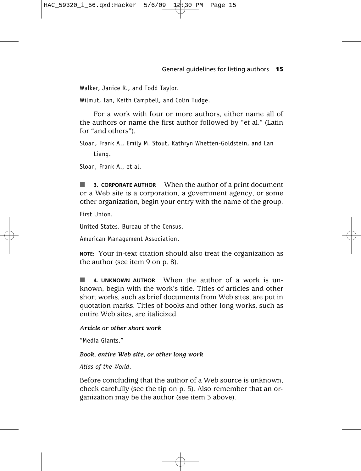Walker, Janice R., and Todd Taylor.

Wilmut, Ian, Keith Campbell, and Colin Tudge.

For a work with four or more authors, either name all of the authors or name the first author followed by "et al." (Latin for "and others").

Sloan, Frank A., Emily M. Stout, Kathryn Whetten-Goldstein, and Lan Liang.

Sloan, Frank A., et al.

■ **3. CORPORATE AUTHOR** When the author of a print document or a Web site is a corporation, a government agency, or some other organization, begin your entry with the name of the group.

First Union.

United States. Bureau of the Census.

American Management Association.

**NOTE:** Your in-text citation should also treat the organization as the author (see item 9 on p. 8).

■ **4. UNKNOWN AUTHOR** When the author of a work is unknown, begin with the work's title. Titles of articles and other short works, such as brief documents from Web sites, are put in quotation marks. Titles of books and other long works, such as entire Web sites, are italicized.

### *Article or other short work*

"Media Giants."

### *Book, entire Web site, or other long work*

*Atlas of the World*.

Before concluding that the author of a Web source is unknown, check carefully (see the tip on p. 5). Also remember that an organization may be the author (see item 3 above).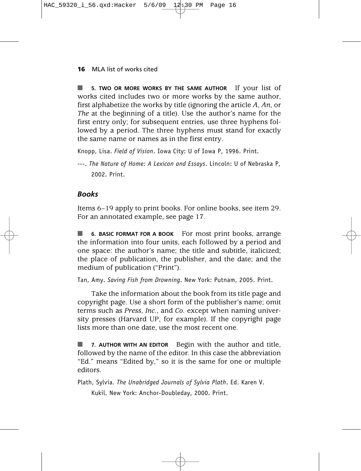5. TWO OR MORE WORKS BY THE SAME AUTHOR If your list of works cited includes two or more works by the same author, first alphabetize the works by title (ignoring the article *A*, *An*, or *The* at the beginning of a title). Use the author's name for the first entry only; for subsequent entries, use three hyphens followed by a period. The three hyphens must stand for exactly the same name or names as in the first entry.

Knopp, Lisa. *Field of Vision*. Iowa City: U of Iowa P, 1996. Print.

---. *The Nature of Home: A Lexicon and Essays*. Lincoln: U of Nebraska P, 2002. Print.

### *Books*

Items 6–19 apply to print books. For online books, see item 29. For an annotated example, see page 17.

■ **6. BASIC FORMAT FOR A BOOK** For most print books, arrange the information into four units, each followed by a period and one space: the author's name; the title and subtitle, italicized; the place of publication, the publisher, and the date; and the medium of publication ("Print").

Tan, Amy. *Saving Fish from Drowning*. New York: Putnam, 2005. Print.

Take the information about the book from its title page and copyright page. Use a short form of the publisher's name; omit terms such as *Press*, *Inc.*, and *Co.* except when naming university presses (Harvard UP, for example). If the copyright page lists more than one date, use the most recent one.

7. AUTHOR WITH AN EDITOR Begin with the author and title, followed by the name of the editor. In this case the abbreviation "Ed." means "Edited by," so it is the same for one or multiple editors.

Plath, Sylvia. *The Unabridged Journals of Sylvia Plath*. Ed. Karen V.

Kukil. New York: Anchor-Doubleday, 2000. Print.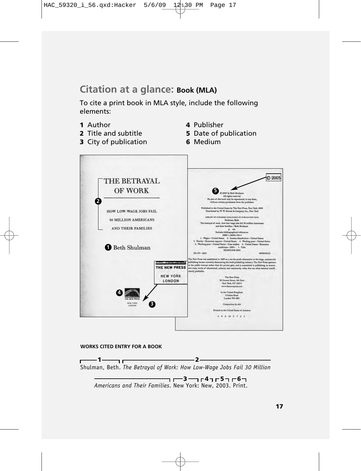### **Citation at a glance: Book (MLA)**

To cite a print book in MLA style, include the following elements:

- Author
- Title and subtitle
- City of publication
- Publisher
- Date of publication
- Medium



#### **WORKS CITED ENTRY FOR A BOOK**

  $\neg$   $\vdash$ Е Shulman, Beth. *The Betrayal of Work: How Low-Wage Jobs Fail 30 Million* **4 5 6**

*Americans and Their Families*. New York: New, 2003. Print.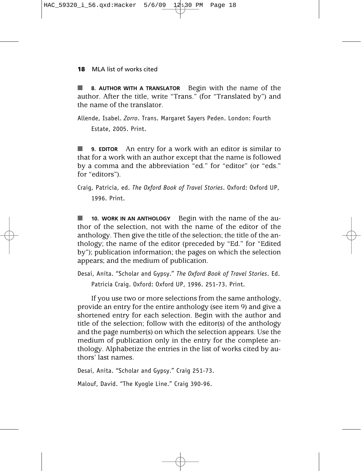■ **8. AUTHOR WITH A TRANSLATOR** Begin with the name of the author. After the title, write "Trans." (for "Translated by") and the name of the translator.

Allende, Isabel. *Zorro*. Trans. Margaret Sayers Peden. London: Fourth Estate, 2005. Print.

**9. EDITOR** An entry for a work with an editor is similar to that for a work with an author except that the name is followed by a comma and the abbreviation "ed." for "editor" (or "eds." for "editors").

Craig, Patricia, ed. *The Oxford Book of Travel Stories*. Oxford: Oxford UP, 1996. Print.

**10. WORK IN AN ANTHOLOGY** Begin with the name of the author of the selection, not with the name of the editor of the anthology. Then give the title of the selection; the title of the anthology; the name of the editor (preceded by "Ed." for "Edited by"); publication information; the pages on which the selection appears; and the medium of publication.

Desai, Anita. "Scholar and Gypsy." *The Oxford Book of Travel Stories*. Ed. Patricia Craig. Oxford: Oxford UP, 1996. 251-73. Print.

If you use two or more selections from the same anthology, provide an entry for the entire anthology (see item 9) and give a shortened entry for each selection. Begin with the author and title of the selection; follow with the editor(s) of the anthology and the page number(s) on which the selection appears. Use the medium of publication only in the entry for the complete anthology. Alphabetize the entries in the list of works cited by authors' last names.

Desai, Anita. "Scholar and Gypsy." Craig 251-73.

Malouf, David. "The Kyogle Line." Craig 390-96.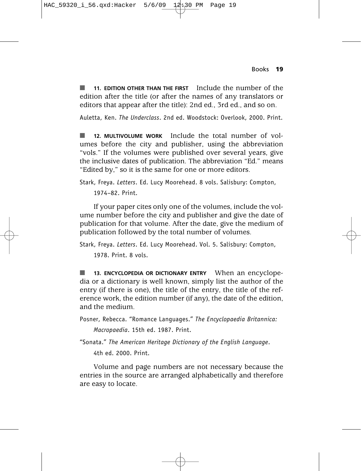**11. EDITION OTHER THAN THE FIRST** Include the number of the edition after the title (or after the names of any translators or editors that appear after the title): 2nd ed., 3rd ed., and so on.

Auletta, Ken. *The Underclass*. 2nd ed. Woodstock: Overlook, 2000. Print.

12. MULTIVOLUME WORK Include the total number of volumes before the city and publisher, using the abbreviation "vols." If the volumes were published over several years, give the inclusive dates of publication. The abbreviation "Ed." means "Edited by," so it is the same for one or more editors.

Stark, Freya. *Letters*. Ed. Lucy Moorehead. 8 vols. Salisbury: Compton,

1974–82. Print.

If your paper cites only one of the volumes, include the volume number before the city and publisher and give the date of publication for that volume. After the date, give the medium of publication followed by the total number of volumes.

Stark, Freya. *Letters*. Ed. Lucy Moorehead. Vol. 5. Salisbury: Compton,

1978. Print. 8 vols.

13. **ENCYCLOPEDIA OR DICTIONARY ENTRY** When an encyclopedia or a dictionary is well known, simply list the author of the entry (if there is one), the title of the entry, the title of the reference work, the edition number (if any), the date of the edition, and the medium.

Posner, Rebecca. "Romance Languages." *The Encyclopaedia Britannica: Macropaedia*. 15th ed. 1987. Print.

"Sonata." *The American Heritage Dictionary of the English Language*. 4th ed. 2000. Print.

Volume and page numbers are not necessary because the entries in the source are arranged alphabetically and therefore are easy to locate.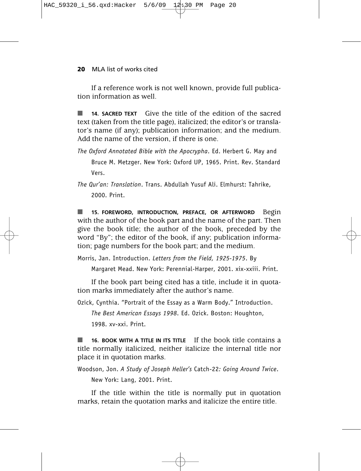**20** MLA list of works cited

If a reference work is not well known, provide full publication information as well.

**14. SACRED TEXT** Give the title of the edition of the sacred text (taken from the title page), italicized; the editor's or translator's name (if any); publication information; and the medium. Add the name of the version, if there is one.

*The Oxford Annotated Bible with the Apocrypha*. Ed. Herbert G. May and

Bruce M. Metzger. New York: Oxford UP, 1965. Print. Rev. Standard Vers.

*The Qur'an: Translation*. Trans. Abdullah Yusuf Ali. Elmhurst: Tahrike, 2000. Print.

15. FOREWORD, INTRODUCTION, PREFACE, OR AFTERWORD Begin with the author of the book part and the name of the part. Then give the book title; the author of the book, preceded by the word "By"; the editor of the book, if any; publication information; page numbers for the book part; and the medium.

Morris, Jan. Introduction. *Letters from the Field, 1925-1975*. By

Margaret Mead. New York: Perennial-Harper, 2001. xix-xxiii. Print.

If the book part being cited has a title, include it in quotation marks immediately after the author's name.

Ozick, Cynthia. "Portrait of the Essay as a Warm Body." Introduction.

*The Best American Essays 1998*. Ed. Ozick. Boston: Houghton, 1998. xv-xxi. Print.

■ **16. BOOK WITH A TITLE IN ITS TITLE** If the book title contains a title normally italicized, neither italicize the internal title nor place it in quotation marks.

Woodson, Jon. *A Study of Joseph Heller's* Catch-22*: Going Around Twice*.

New York: Lang, 2001. Print.

If the title within the title is normally put in quotation marks, retain the quotation marks and italicize the entire title.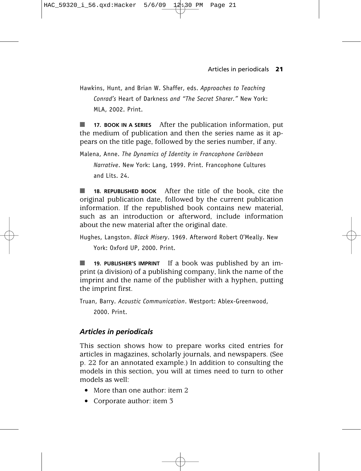Hawkins, Hunt, and Brian W. Shaffer, eds. *Approaches to Teaching Conrad's* Heart of Darkness *and "The Secret Sharer."* New York: MLA, 2002. Print.

**17. BOOK IN A SERIES** After the publication information, put the medium of publication and then the series name as it appears on the title page, followed by the series number, if any.

Malena, Anne. *The Dynamics of Identity in Francophone Caribbean Narrative*. New York: Lang, 1999. Print. Francophone Cultures and Lits. 24.

**18. REPUBLISHED BOOK** After the title of the book, cite the original publication date, followed by the current publication information. If the republished book contains new material, such as an introduction or afterword, include information about the new material after the original date.

```
Hughes, Langston. Black Misery. 1969. Afterword Robert O'Meally. New
York: Oxford UP, 2000. Print.
```
19. PUBLISHER'S IMPRINT If a book was published by an imprint (a division) of a publishing company, link the name of the imprint and the name of the publisher with a hyphen, putting the imprint first.

Truan, Barry. *Acoustic Communication*. Westport: Ablex-Greenwood, 2000. Print.

### *Articles in periodicals*

This section shows how to prepare works cited entries for articles in magazines, scholarly journals, and newspapers. (See p. 22 for an annotated example.) In addition to consulting the models in this section, you will at times need to turn to other models as well:

- More than one author: item 2
- Corporate author: item 3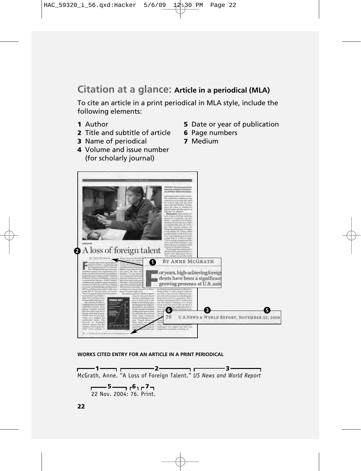### **Citation at a glance: Article in a periodical (MLA)**

To cite an article in a print periodical in MLA style, include the following elements:

- **1** Author
- **2** Title and subtitle of article
- **3** Name of periodical
- **4** Volume and issue number (for scholarly journal)
- **5** Date or year of publication
- **6** Page numbers
- **7** Medium



#### **WORKS CITED ENTRY FOR AN ARTICLE IN A PRINT PERIODICAL**

**2 3** —1——<sub>1</sub> ————2—  $\blacksquare$ McGrath, Anne. "A Loss of Foreign Talent." *US News and World Report*

22 Nov. 2004: 76. Print. **5** — **16**<sub>1</sub>  $\sim$  7

**22**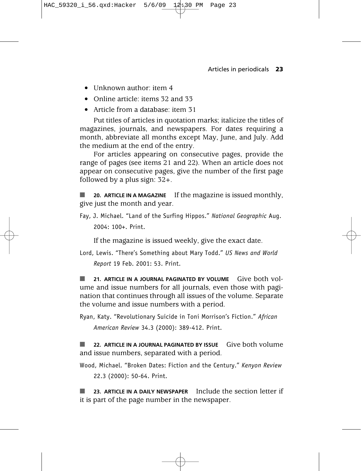- Unknown author: item 4
- Online article: items 32 and 33
- Article from a database: item 31

Put titles of articles in quotation marks; italicize the titles of magazines, journals, and newspapers. For dates requiring a month, abbreviate all months except May, June, and July. Add the medium at the end of the entry.

For articles appearing on consecutive pages, provide the range of pages (see items 21 and 22). When an article does not appear on consecutive pages, give the number of the first page followed by a plus sign: 32+.

20. ARTICLE IN A MAGAZINE If the magazine is issued monthly, give just the month and year.

Fay, J. Michael. "Land of the Surfing Hippos." *National Geographic* Aug. 2004: 100+. Print.

If the magazine is issued weekly, give the exact date.

Lord, Lewis. "There's Something about Mary Todd." *US News and World Report* 19 Feb. 2001: 53. Print.

21. ARTICLE IN A JOURNAL PAGINATED BY VOLUME Give both volume and issue numbers for all journals, even those with pagination that continues through all issues of the volume. Separate the volume and issue numbers with a period.

Ryan, Katy. "Revolutionary Suicide in Toni Morrison's Fiction." *African American Review* 34.3 (2000): 389-412. Print.

22. ARTICLE IN A JOURNAL PAGINATED BY ISSUE Give both volume and issue numbers, separated with a period.

Wood, Michael. "Broken Dates: Fiction and the Century." *Kenyon Review* 22.3 (2000): 50-64. Print.

23. ARTICLE IN A DAILY NEWSPAPER Include the section letter if it is part of the page number in the newspaper.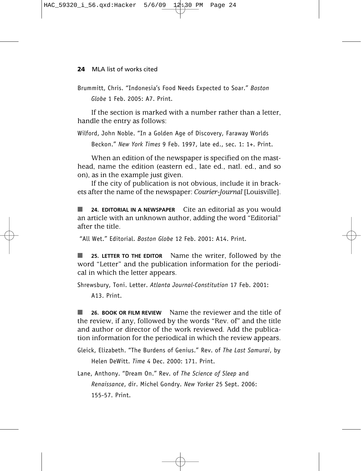Brummitt, Chris. "Indonesia's Food Needs Expected to Soar." *Boston Globe* 1 Feb. 2005: A7. Print.

If the section is marked with a number rather than a letter, handle the entry as follows:

Wilford, John Noble. "In a Golden Age of Discovery, Faraway Worlds

Beckon." *New York Times* 9 Feb. 1997, late ed., sec. 1: 1+. Print.

When an edition of the newspaper is specified on the masthead, name the edition (eastern ed., late ed., natl. ed., and so on), as in the example just given.

If the city of publication is not obvious, include it in brackets after the name of the newspaper: *Courier-Journal* [Louisville].

■ **24. EDITORIAL IN A NEWSPAPER** Cite an editorial as you would an article with an unknown author, adding the word "Editorial" after the title.

"All Wet." Editorial. *Boston Globe* 12 Feb. 2001: A14. Print.

■ **25. LETTER TO THE EDITOR** Name the writer, followed by the word "Letter" and the publication information for the periodical in which the letter appears.

Shrewsbury, Toni. Letter. *Atlanta Journal-Constitution* 17 Feb. 2001:

A13. Print.

**26. BOOK OR FILM REVIEW** Name the reviewer and the title of the review, if any, followed by the words "Rev. of" and the title and author or director of the work reviewed. Add the publication information for the periodical in which the review appears.

Gleick, Elizabeth. "The Burdens of Genius." Rev. of *The Last Samurai*, by Helen DeWitt. *Time* 4 Dec. 2000: 171. Print.

Lane, Anthony. "Dream On." Rev. of *The Science of Sleep* and *Renaissance*, dir. Michel Gondry. *New Yorker* 25 Sept. 2006: 155-57. Print.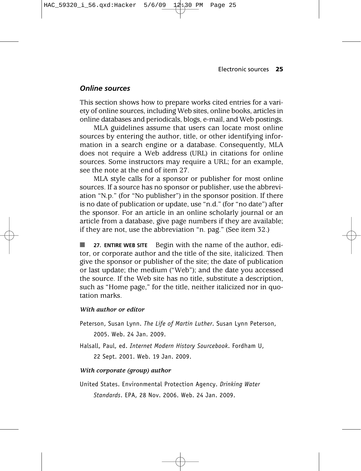### *Online sources*

This section shows how to prepare works cited entries for a variety of online sources, including Web sites, online books, articles in online databases and periodicals, blogs, e-mail, and Web postings.

MLA guidelines assume that users can locate most online sources by entering the author, title, or other identifying information in a search engine or a database. Consequently, MLA does not require a Web address (URL) in citations for online sources. Some instructors may require a URL; for an example, see the note at the end of item 27.

MLA style calls for a sponsor or publisher for most online sources. If a source has no sponsor or publisher, use the abbreviation "N.p." (for "No publisher") in the sponsor position. If there is no date of publication or update, use "n.d." (for "no date") after the sponsor. For an article in an online scholarly journal or an article from a database, give page numbers if they are available; if they are not, use the abbreviation "n. pag." (See item 32.)

27. **ENTIRE WEB SITE** Begin with the name of the author, editor, or corporate author and the title of the site, italicized. Then give the sponsor or publisher of the site; the date of publication or last update; the medium ("Web"); and the date you accessed the source. If the Web site has no title, substitute a description, such as "Home page," for the title, neither italicized nor in quotation marks.

### *With author or editor*

Peterson, Susan Lynn. *The Life of Martin Luther*. Susan Lynn Peterson, 2005. Web. 24 Jan. 2009.

Halsall, Paul, ed. *Internet Modern History Sourcebook*. Fordham U, 22 Sept. 2001. Web. 19 Jan. 2009.

### *With corporate (group) author*

United States. Environmental Protection Agency. *Drinking Water Standards*. EPA, 28 Nov. 2006. Web. 24 Jan. 2009.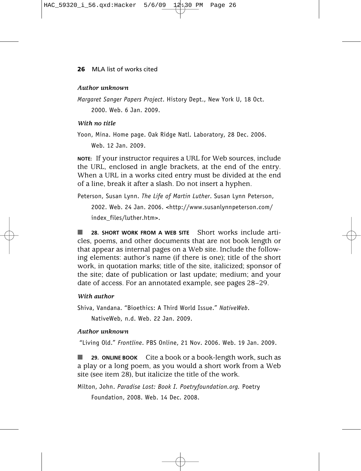### *Author unknown*

*Margaret Sanger Papers Project*. History Dept., New York U, 18 Oct. 2000. Web. 6 Jan. 2009.

### *With no title*

Yoon, Mina. Home page. Oak Ridge Natl. Laboratory, 28 Dec. 2006.

Web. 12 Jan. 2009.

**NOTE:** If your instructor requires a URL for Web sources, include the URL, enclosed in angle brackets, at the end of the entry. When a URL in a works cited entry must be divided at the end of a line, break it after a slash. Do not insert a hyphen.

Peterson, Susan Lynn. *The Life of Martin Luther*. Susan Lynn Peterson, 2002. Web. 24 Jan. 2006. <http://www.susanlynnpeterson.com/ index\_files/luther.htm>.

■ **28. SHORT WORK FROM A WEB SITE** Short works include articles, poems, and other documents that are not book length or that appear as internal pages on a Web site. Include the following elements: author's name (if there is one); title of the short work, in quotation marks; title of the site, italicized; sponsor of the site; date of publication or last update; medium; and your date of access. For an annotated example, see pages 28–29.

### *With author*

Shiva, Vandana. "Bioethics: A Third World Issue." *NativeWeb*.

NativeWeb, n.d. Web. 22 Jan. 2009.

### *Author unknown*

"Living Old." *Frontline*. PBS Online, 21 Nov. 2006. Web. 19 Jan. 2009.

**29. ONLINE BOOK** Cite a book or a book-length work, such as a play or a long poem, as you would a short work from a Web site (see item 28), but italicize the title of the work.

Milton, John. *Paradise Lost: Book I. Poetryfoundation.org.* Poetry Foundation, 2008. Web. 14 Dec. 2008.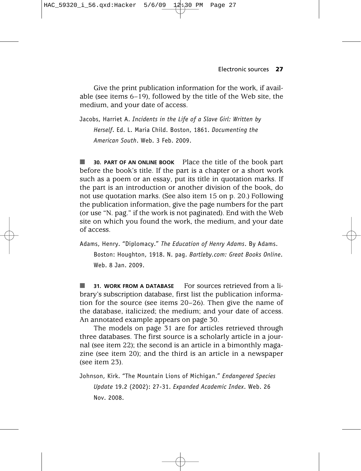Give the print publication information for the work, if available (see items 6–19), followed by the title of the Web site, the medium, and your date of access.

Jacobs, Harriet A. *Incidents in the Life of a Slave Girl: Written by Herself*. Ed. L. Maria Child. Boston, 1861. *Documenting the American South*. Web. 3 Feb. 2009.

**30. PART OF AN ONLINE BOOK** Place the title of the book part before the book's title. If the part is a chapter or a short work such as a poem or an essay, put its title in quotation marks. If the part is an introduction or another division of the book, do not use quotation marks. (See also item 15 on p. 20.) Following the publication information, give the page numbers for the part (or use "N. pag." if the work is not paginated). End with the Web site on which you found the work, the medium, and your date of access.

Adams, Henry. "Diplomacy." *The Education of Henry Adams*. By Adams.

Boston: Houghton, 1918. N. pag. *Bartleby.com: Great Books Online*. Web. 8 Jan. 2009.

**31. WORK FROM A DATABASE** For sources retrieved from a library's subscription database, first list the publication information for the source (see items 20–26). Then give the name of the database, italicized; the medium; and your date of access. An annotated example appears on page 30.

The models on page 31 are for articles retrieved through three databases. The first source is a scholarly article in a journal (see item 22); the second is an article in a bimonthly magazine (see item 20); and the third is an article in a newspaper (see item 23).

Johnson, Kirk. "The Mountain Lions of Michigan." *Endangered Species Update* 19.2 (2002): 27-31. *Expanded Academic Index*. Web. 26 Nov. 2008.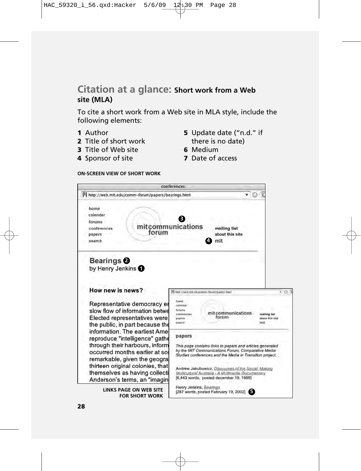### **Citation at a glance: Short work from a Web site (MLA)**

To cite a short work from a Web site in MLA style, include the following elements:

- Author
- Title of short work
- Title of Web site
- Sponsor of site
- Update date ("n.d." if there is no date)
- Medium
- Date of access

#### **ON-SCREEN VIEW OF SHORT WORK**

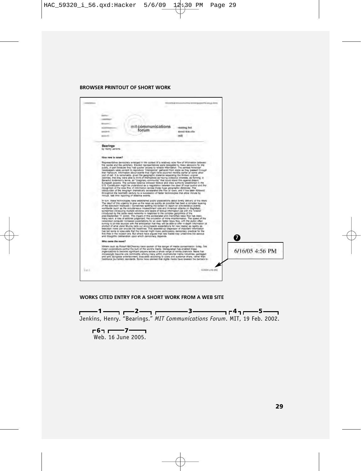#### **BROWSER PRINTOUT OF SHORT WORK**

mitcommunications managest Forum forum and . mit Bearings<br>by Henry Jenters How new is news? However in merelli and particular animalism of the state of the state of the state of the state of the state of the state of the state of the state of the state of the state of the state of the state of the state of the s means, we transport the section of the section of the section of the section of the section of the section of the section of the section of the section of the section of the section of the section of the section of the se **0** Who owns the news? Writes such as Robert McCheshray Asiat spoken of this danger of made concentrator: totay, five and concentration control for advice of the painting of the painting of the state of the control of the control of the control 6/16/05 4:56 PM Tut 8 www.com/

#### **WORKS CITED ENTRY FOR A SHORT WORK FROM A WEB SITE**

Jenkins, Henry. "Bearings." *MIT Communications Forum*. MIT, 19 Feb. 2002.  $-1$   $-1$   $-2$   $-1$   $-3$   $-3$ **3 4 5**

Web. 16 June 2005.  $r$ <sup>6</sup> $r$  $r$  $r$  $r$  $r$  $r$  $r$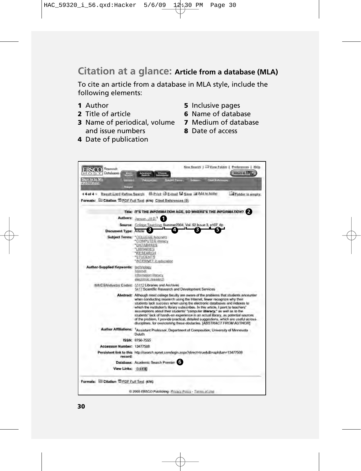### **Citation at a glance: Article from a database (MLA)**

To cite an article from a database in MLA style, include the following elements:

- Author
- Title of article
- Name of periodical, volume **7** Medium of database and issue numbers
- Date of publication
- Inclusive pages
- Name of database
- 
- Date of access

| Sign in to My<br>time<br>m<br><b>BSCOhnst</b> | <b>DATABASH</b><br><b>Class Anham</b><br><b><i>DAYONA TWORES</i></b><br><b>The Company</b>                                                                                                                                                                                                                                                                                                                                                                                                                                                                                                                                                                         | Hearin to Life   |
|-----------------------------------------------|--------------------------------------------------------------------------------------------------------------------------------------------------------------------------------------------------------------------------------------------------------------------------------------------------------------------------------------------------------------------------------------------------------------------------------------------------------------------------------------------------------------------------------------------------------------------------------------------------------------------------------------------------------------------|------------------|
| ma<br>$44014 +$                               | Result List   Refine Search B Print 3 E-mail 5 Save 4 Add to folder<br>Formats: III Citation DPDF Full Text (67K) Cited References (9)                                                                                                                                                                                                                                                                                                                                                                                                                                                                                                                             | Folder is empty. |
|                                               | Title: IT'S THE INFORMATION AGE, SO WHERE'S THE INFORMATION?                                                                                                                                                                                                                                                                                                                                                                                                                                                                                                                                                                                                       |                  |
|                                               | Authors: Janson JUD. 1                                                                                                                                                                                                                                                                                                                                                                                                                                                                                                                                                                                                                                             |                  |
|                                               | Source: College Traching Summer2004, Vol. 52 Issue 3, p107, 6p                                                                                                                                                                                                                                                                                                                                                                                                                                                                                                                                                                                                     |                  |
| Document Type: Article                        |                                                                                                                                                                                                                                                                                                                                                                                                                                                                                                                                                                                                                                                                    |                  |
|                                               | Subject Terms: "COLLEGE teachers<br>*COMPUTER iteracy<br>*DATABASES<br><b>LIBRARIES</b><br><b>RESEARCH</b><br>*STUDENTS<br>*INTERNET.in.education                                                                                                                                                                                                                                                                                                                                                                                                                                                                                                                  |                  |
| Author-Supplied Keywords: lechnology          | Internet<br>information literacy.<br>electronic research                                                                                                                                                                                                                                                                                                                                                                                                                                                                                                                                                                                                           |                  |
|                                               | NAICS/Initiastry Codes: 51412 Libraries and Archives<br>5417 Scientific Research and Development Services                                                                                                                                                                                                                                                                                                                                                                                                                                                                                                                                                          |                  |
|                                               | Abstract: Although most college faculty are aware of the problems that students encounter<br>when conducting research using the triternet, fewer recognize why their<br>students lack success when using the electronic databases and induxes to<br>which the institution's library subscribes. In this article, I point to teachers'<br>assumptions about their students' "computer literacy," as well as to the<br>students' lack of hands-on experience in an actual library, as potential sources<br>of the problem. I provide practical, detailed suggestions, which are useful across<br>disciplines, for overcoming these obstacles. TABSTRACT FROM AUTHORT |                  |
|                                               | Author Affiliations: 1Assistant Professor, Department of Composition, University of Minnesota<br>Duluth                                                                                                                                                                                                                                                                                                                                                                                                                                                                                                                                                            |                  |
|                                               | ISSN: 8756-7555                                                                                                                                                                                                                                                                                                                                                                                                                                                                                                                                                                                                                                                    |                  |
| Accession Number: 13477508                    |                                                                                                                                                                                                                                                                                                                                                                                                                                                                                                                                                                                                                                                                    |                  |
| record:                                       | Persistent link to this http://search.gpnet.com/login.aspx?direct=true&db=aph&an=13477508                                                                                                                                                                                                                                                                                                                                                                                                                                                                                                                                                                          |                  |
|                                               | Database: Academic Search Premier                                                                                                                                                                                                                                                                                                                                                                                                                                                                                                                                                                                                                                  |                  |
| View Links: 35FK                              |                                                                                                                                                                                                                                                                                                                                                                                                                                                                                                                                                                                                                                                                    |                  |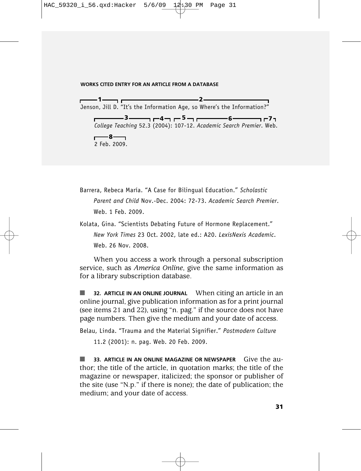#### **WORKS CITED ENTRY FOR AN ARTICLE FROM A DATABASE**

Jenson, Jill D. "It's the Information Age, so Where's the Information?" *College Teaching* 52.3 (2004): 107-12. *Academic Search Premier*. Web. 2 Feb. 2009. **1 2 3 4 5 6 7 8**

Barrera, Rebeca María. "A Case for Bilingual Education." *Scholastic Parent and Child* Nov.-Dec. 2004: 72-73. *Academic Search Premier*. Web. 1 Feb. 2009.

Kolata, Gina. "Scientists Debating Future of Hormone Replacement." *New York Times* 23 Oct. 2002, late ed.: A20. *LexisNexis Academic*. Web. 26 Nov. 2008.

When you access a work through a personal subscription service, such as *America Online*, give the same information as for a library subscription database.

**32. ARTICLE IN AN ONLINE JOURNAL** When citing an article in an online journal, give publication information as for a print journal (see items 21 and 22), using "n. pag." if the source does not have page numbers. Then give the medium and your date of access.

Belau, Linda. "Trauma and the Material Signifier." *Postmodern Culture*

11.2 (2001): n. pag. Web. 20 Feb. 2009.

**33. ARTICLE IN AN ONLINE MAGAZINE OR NEWSPAPER** Give the author; the title of the article, in quotation marks; the title of the magazine or newspaper, italicized; the sponsor or publisher of the site (use "N.p." if there is none); the date of publication; the medium; and your date of access.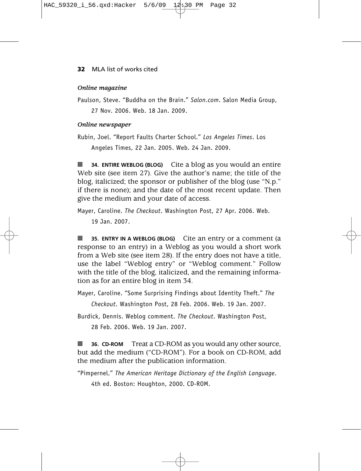#### **32** MLA list of works cited

### *Online magazine*

Paulson, Steve. "Buddha on the Brain." *Salon.com*. Salon Media Group, 27 Nov. 2006. Web. 18 Jan. 2009.

### *Online newspaper*

Rubin, Joel. "Report Faults Charter School." *Los Angeles Times*. Los Angeles Times, 22 Jan. 2005. Web. 24 Jan. 2009.

■ **34. ENTIRE WEBLOG (BLOG)** Cite a blog as you would an entire Web site (see item 27). Give the author's name; the title of the blog, italicized; the sponsor or publisher of the blog (use "N.p." if there is none); and the date of the most recent update. Then give the medium and your date of access.

Mayer, Caroline. *The Checkout*. Washington Post, 27 Apr. 2006. Web.

19 Jan. 2007.

35. **ENTRY IN A WEBLOG (BLOG)** Cite an entry or a comment (a response to an entry) in a Weblog as you would a short work from a Web site (see item 28). If the entry does not have a title, use the label "Weblog entry" or "Weblog comment." Follow with the title of the blog, italicized, and the remaining information as for an entire blog in item 34.

Mayer, Caroline. "Some Surprising Findings about Identity Theft." *The*

*Checkout*. Washington Post, 28 Feb. 2006. Web. 19 Jan. 2007.

Burdick, Dennis. Weblog comment. *The Checkout*. Washington Post,

28 Feb. 2006. Web. 19 Jan. 2007.

**36. CD-ROM** Treat a CD-ROM as you would any other source, but add the medium ("CD-ROM"). For a book on CD-ROM, add the medium after the publication information.

"Pimpernel." *The American Heritage Dictionary of the English Language*.

4th ed. Boston: Houghton, 2000. CD-ROM.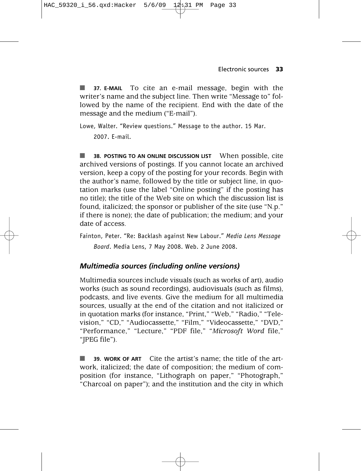**37. E-MAIL** To cite an e-mail message, begin with the writer's name and the subject line. Then write "Message to" followed by the name of the recipient. End with the date of the message and the medium ("E-mail").

Lowe, Walter. "Review questions." Message to the author. 15 Mar.

2007. E-mail.

■ **38. POSTING TO AN ONLINE DISCUSSION LIST** When possible, cite archived versions of postings. If you cannot locate an archived version, keep a copy of the posting for your records. Begin with the author's name, followed by the title or subject line, in quotation marks (use the label "Online posting" if the posting has no title); the title of the Web site on which the discussion list is found, italicized; the sponsor or publisher of the site (use "N.p." if there is none); the date of publication; the medium; and your date of access.

Fainton, Peter. "Re: Backlash against New Labour." *Media Lens Message Board*. Media Lens, 7 May 2008. Web. 2 June 2008.

### *Multimedia sources (including online versions)*

Multimedia sources include visuals (such as works of art), audio works (such as sound recordings), audiovisuals (such as films), podcasts, and live events. Give the medium for all multimedia sources, usually at the end of the citation and not italicized or in quotation marks (for instance, "Print," "Web," "Radio," "Television," "CD," "Audiocassette," "Film," "Videocassette," "DVD," "Performance," "Lecture," "PDF file," "*Microsoft Word* file," "JPEG file").

**39. WORK OF ART** Cite the artist's name; the title of the artwork, italicized; the date of composition; the medium of composition (for instance, "Lithograph on paper," "Photograph," "Charcoal on paper"); and the institution and the city in which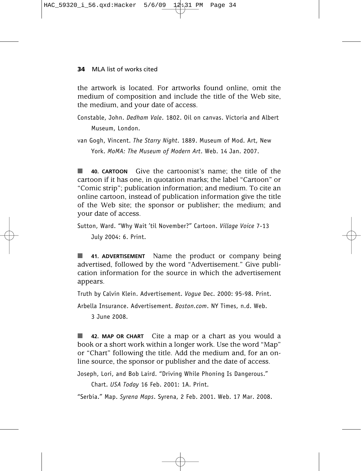the artwork is located. For artworks found online, omit the medium of composition and include the title of the Web site, the medium, and your date of access.

Constable, John. *Dedham Vale*. 1802. Oil on canvas. Victoria and Albert Museum, London.

van Gogh, Vincent. *The Starry Night*. 1889. Museum of Mod. Art, New York. *MoMA: The Museum of Modern Art*. Web. 14 Jan. 2007.

■ **40. CARTOON** Give the cartoonist's name; the title of the cartoon if it has one, in quotation marks; the label "Cartoon" or "Comic strip"; publication information; and medium. To cite an online cartoon, instead of publication information give the title of the Web site; the sponsor or publisher; the medium; and your date of access.

Sutton, Ward. "Why Wait 'til November?" Cartoon. *Village Voice* 7-13

July 2004: 6. Print.

41. ADVERTISEMENT Name the product or company being advertised, followed by the word "Advertisement." Give publication information for the source in which the advertisement appears.

Truth by Calvin Klein. Advertisement. *Vogue* Dec. 2000: 95-98. Print.

Arbella Insurance. Advertisement. *Boston.com*. NY Times, n.d. Web.

3 June 2008.

42. MAP OR CHART Cite a map or a chart as you would a book or a short work within a longer work. Use the word "Map" or "Chart" following the title. Add the medium and, for an online source, the sponsor or publisher and the date of access.

Joseph, Lori, and Bob Laird. "Driving While Phoning Is Dangerous."

Chart. *USA Today* 16 Feb. 2001: 1A. Print.

"Serbia." Map. *Syrena Maps*. Syrena, 2 Feb. 2001. Web. 17 Mar. 2008.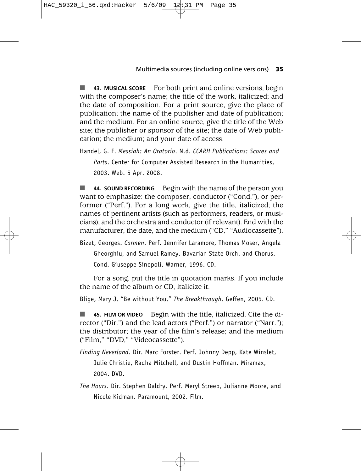■ **43. MUSICAL SCORE** For both print and online versions, begin with the composer's name; the title of the work, italicized; and the date of composition. For a print source, give the place of publication; the name of the publisher and date of publication; and the medium. For an online source, give the title of the Web site; the publisher or sponsor of the site; the date of Web publication; the medium; and your date of access.

Handel, G. F. *Messiah: An Oratorio*. N.d. *CCARH Publications: Scores and Parts*. Center for Computer Assisted Research in the Humanities, 2003. Web. 5 Apr. 2008.

**44. SOUND RECORDING** Begin with the name of the person you want to emphasize: the composer, conductor ("Cond."), or performer ("Perf."). For a long work, give the title, italicized; the names of pertinent artists (such as performers, readers, or musicians); and the orchestra and conductor (if relevant). End with the manufacturer, the date, and the medium ("CD," "Audiocassette").

Bizet, Georges. *Carmen*. Perf. Jennifer Laramore, Thomas Moser, Angela Gheorghiu, and Samuel Ramey. Bavarian State Orch. and Chorus. Cond. Giuseppe Sinopoli. Warner, 1996. CD.

For a song, put the title in quotation marks. If you include the name of the album or CD, italicize it.

Blige, Mary J. "Be without You." *The Breakthrough*. Geffen, 2005. CD.

■ **45. FILM OR VIDEO** Begin with the title, italicized. Cite the director ("Dir.") and the lead actors ("Perf.") or narrator ("Narr."); the distributor; the year of the film's release; and the medium ("Film," "DVD," "Videocassette").

*Finding Neverland*. Dir. Marc Forster. Perf. Johnny Depp, Kate Winslet, Julie Christie, Radha Mitchell, and Dustin Hoffman. Miramax, 2004. DVD.

*The Hours*. Dir. Stephen Daldry. Perf. Meryl Streep, Julianne Moore, and Nicole Kidman. Paramount, 2002. Film.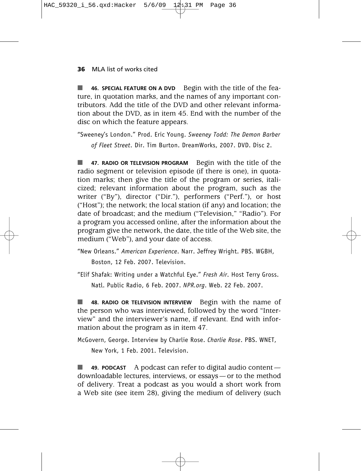■ **46. SPECIAL FEATURE ON A DVD** Begin with the title of the feature, in quotation marks, and the names of any important contributors. Add the title of the DVD and other relevant information about the DVD, as in item 45. End with the number of the disc on which the feature appears.

"Sweeney's London." Prod. Eric Young. *Sweeney Todd: The Demon Barber of Fleet Street*. Dir. Tim Burton. DreamWorks, 2007. DVD. Disc 2.

47. RADIO OR TELEVISION PROGRAM Begin with the title of the radio segment or television episode (if there is one), in quotation marks; then give the title of the program or series, italicized; relevant information about the program, such as the writer ("By"), director ("Dir."), performers ("Perf."), or host ("Host"); the network; the local station (if any) and location; the date of broadcast; and the medium ("Television," "Radio"). For a program you accessed online, after the information about the program give the network, the date, the title of the Web site, the medium ("Web"), and your date of access.

"New Orleans." *American Experience*. Narr. Jeffrey Wright. PBS. WGBH,

Boston, 12 Feb. 2007. Television.

"Elif Shafak: Writing under a Watchful Eye." *Fresh Air*. Host Terry Gross. Natl. Public Radio, 6 Feb. 2007. *NPR.org*. Web. 22 Feb. 2007.

48. RADIO OR TELEVISION INTERVIEW Begin with the name of the person who was interviewed, followed by the word "Interview" and the interviewer's name, if relevant. End with information about the program as in item 47.

McGovern, George. Interview by Charlie Rose. *Charlie Rose*. PBS. WNET, New York, 1 Feb. 2001. Television.

49. PODCAST A podcast can refer to digital audio content downloadable lectures, interviews, or essays—or to the method of delivery. Treat a podcast as you would a short work from a Web site (see item 28), giving the medium of delivery (such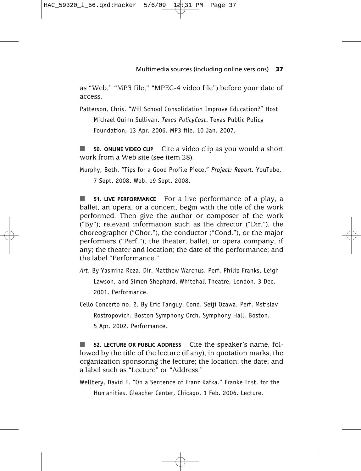as "Web," "MP3 file," "MPEG-4 video file") before your date of access.

Patterson, Chris. "Will School Consolidation Improve Education?" Host Michael Quinn Sullivan. *Texas PolicyCast*. Texas Public Policy Foundation, 13 Apr. 2006. MP3 file. 10 Jan. 2007.

**50. ONLINE VIDEO CLIP** Cite a video clip as you would a short work from a Web site (see item 28).

Murphy, Beth. "Tips for a Good Profile Piece." *Project: Report.* YouTube,

7 Sept. 2008. Web. 19 Sept. 2008.

**51. LIVE PERFORMANCE** For a live performance of a play, a ballet, an opera, or a concert, begin with the title of the work performed. Then give the author or composer of the work ("By"); relevant information such as the director ("Dir."), the choreographer ("Chor."), the conductor ("Cond."), or the major performers ("Perf."); the theater, ballet, or opera company, if any; the theater and location; the date of the performance; and the label "Performance."

- *Art*. By Yasmina Reza. Dir. Matthew Warchus. Perf. Philip Franks, Leigh Lawson, and Simon Shephard. Whitehall Theatre, London. 3 Dec. 2001. Performance.
- Cello Concerto no. 2. By Eric Tanguy. Cond. Seiji Ozawa. Perf. Mstislav Rostropovich. Boston Symphony Orch. Symphony Hall, Boston. 5 Apr. 2002. Performance.

**52. LECTURE OR PUBLIC ADDRESS** Cite the speaker's name, followed by the title of the lecture (if any), in quotation marks; the organization sponsoring the lecture; the location; the date; and a label such as "Lecture" or "Address."

Wellbery, David E. "On a Sentence of Franz Kafka." Franke Inst. for the Humanities. Gleacher Center, Chicago. 1 Feb. 2006. Lecture.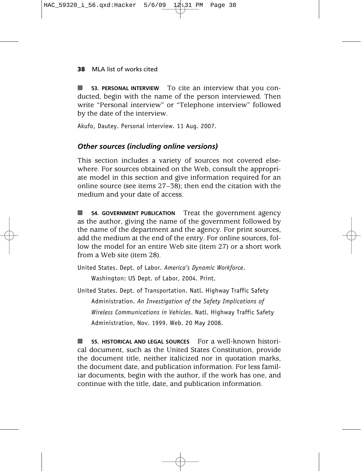■ **53. PERSONAL INTERVIEW** To cite an interview that you conducted, begin with the name of the person interviewed. Then write "Personal interview" or "Telephone interview" followed by the date of the interview.

Akufo, Dautey. Personal interview. 11 Aug. 2007.

### *Other sources (including online versions)*

This section includes a variety of sources not covered elsewhere. For sources obtained on the Web, consult the appropriate model in this section and give information required for an online source (see items 27–38); then end the citation with the medium and your date of access.

54. GOVERNMENT PUBLICATION Treat the government agency as the author, giving the name of the government followed by the name of the department and the agency. For print sources, add the medium at the end of the entry. For online sources, follow the model for an entire Web site (item 27) or a short work from a Web site (item 28).

United States. Dept. of Labor. *America's Dynamic Workforce*.

Washington: US Dept. of Labor, 2004. Print.

United States. Dept. of Transportation. Natl. Highway Traffic Safety Administration. *An Investigation of the Safety Implications of Wireless Communications in Vehicles*. Natl. Highway Traffic Safety Administration, Nov. 1999. Web. 20 May 2008.

■ **55. HISTORICAL AND LEGAL SOURCES** For a well-known historical document, such as the United States Constitution, provide the document title, neither italicized nor in quotation marks, the document date, and publication information. For less familiar documents, begin with the author, if the work has one, and continue with the title, date, and publication information.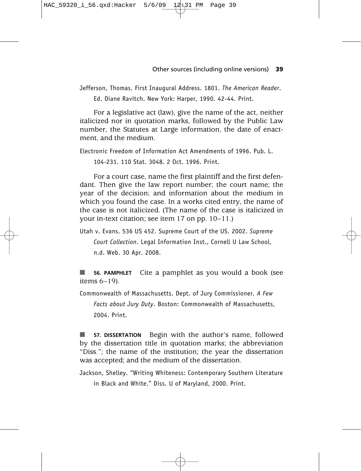Jefferson, Thomas. First Inaugural Address. 1801. *The American Reader*.

Ed. Diane Ravitch. New York: Harper, 1990. 42-44. Print.

For a legislative act (law), give the name of the act, neither italicized nor in quotation marks, followed by the Public Law number, the Statutes at Large information, the date of enactment, and the medium.

Electronic Freedom of Information Act Amendments of 1996. Pub. L. 104-231. 110 Stat. 3048. 2 Oct. 1996. Print.

For a court case, name the first plaintiff and the first defendant. Then give the law report number; the court name; the year of the decision; and information about the medium in which you found the case. In a works cited entry, the name of the case is not italicized. (The name of the case is italicized in your in-text citation; see item 17 on pp. 10–11.)

Utah v. Evans. 536 US 452. Supreme Court of the US. 2002. *Supreme Court Collection*. Legal Information Inst., Cornell U Law School, n.d. Web. 30 Apr. 2008.

**56. PAMPHLET** Cite a pamphlet as you would a book (see items 6–19).

Commonwealth of Massachusetts. Dept. of Jury Commissioner. *A Few*

*Facts about Jury Duty*. Boston: Commonwealth of Massachusetts, 2004. Print.

**57. DISSERTATION** Begin with the author's name, followed by the dissertation title in quotation marks; the abbreviation "Diss."; the name of the institution; the year the dissertation was accepted; and the medium of the dissertation.

Jackson, Shelley. "Writing Whiteness: Contemporary Southern Literature in Black and White." Diss. U of Maryland, 2000. Print.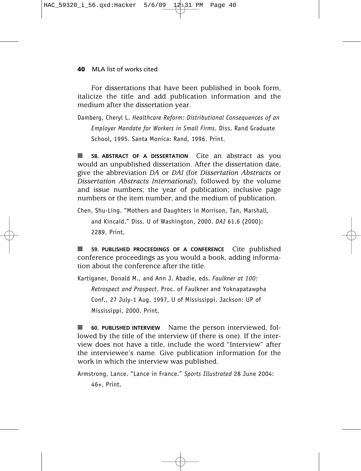For dissertations that have been published in book form, italicize the title and add publication information and the medium after the dissertation year.

Damberg, Cheryl L. *Healthcare Reform: Distributional Consequences of an Employer Mandate for Workers in Small Firms*. Diss. Rand Graduate School, 1995. Santa Monica: Rand, 1996. Print.

58. ABSTRACT OF A DISSERTATION Cite an abstract as you would an unpublished dissertation. After the dissertation date, give the abbreviation *DA* or *DAI* (for *Dissertation Abstracts* or *Dissertation Abstracts International*), followed by the volume and issue numbers; the year of publication; inclusive page numbers or the item number; and the medium of publication.

Chen, Shu-Ling. "Mothers and Daughters in Morrison, Tan, Marshall, and Kincaid." Diss. U of Washington, 2000. *DAI* 61.6 (2000): 2289. Print.

59. PUBLISHED PROCEEDINGS OF A CONFERENCE Cite published conference proceedings as you would a book, adding information about the conference after the title.

Kartiganer, Donald M., and Ann J. Abadie, eds. *Faulkner at 100:*

*Retrospect and Prospect*. Proc. of Faulkner and Yoknapatawpha Conf., 27 July-1 Aug. 1997, U of Mississippi. Jackson: UP of Mississippi, 2000. Print.

60. PUBLISHED INTERVIEW Name the person interviewed, followed by the title of the interview (if there is one). If the interview does not have a title, include the word "Interview" after the interviewee's name. Give publication information for the work in which the interview was published.

Armstrong, Lance. "Lance in France." *Sports Illustrated* 28 June 2004: 46+. Print.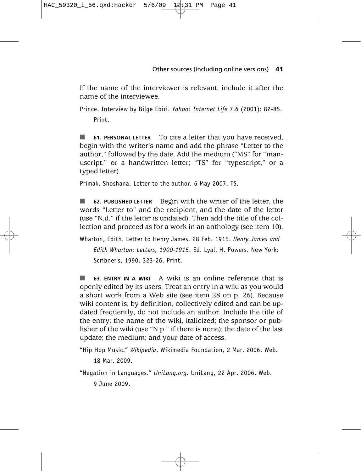If the name of the interviewer is relevant, include it after the name of the interviewee.

Prince. Interview by Bilge Ebiri. *Yahoo! Internet Life* 7.6 (2001): 82-85. Print.

**61. PERSONAL LETTER** To cite a letter that you have received, begin with the writer's name and add the phrase "Letter to the author," followed by the date. Add the medium ("MS" for "manuscript," or a handwritten letter; "TS" for "typescript," or a typed letter).

Primak, Shoshana. Letter to the author. 6 May 2007. TS.

**62. PUBLISHED LETTER** Begin with the writer of the letter, the words "Letter to" and the recipient, and the date of the letter (use "N.d." if the letter is undated). Then add the title of the collection and proceed as for a work in an anthology (see item 10).

Wharton, Edith. Letter to Henry James. 28 Feb. 1915. *Henry James and Edith Wharton: Letters, 1900-1915*. Ed. Lyall H. Powers. New York: Scribner's, 1990. 323-26. Print.

**63. ENTRY IN A WIKI** A wiki is an online reference that is openly edited by its users. Treat an entry in a wiki as you would a short work from a Web site (see item 28 on p. 26). Because wiki content is, by definition, collectively edited and can be updated frequently, do not include an author. Include the title of the entry; the name of the wiki, italicized; the sponsor or publisher of the wiki (use "N.p." if there is none); the date of the last update; the medium; and your date of access.

"Hip Hop Music." *Wikipedia*. Wikimedia Foundation, 2 Mar. 2006. Web.

18 Mar. 2009.

"Negation in Languages." *UniLang.org*. UniLang, 22 Apr. 2006. Web.

9 June 2009.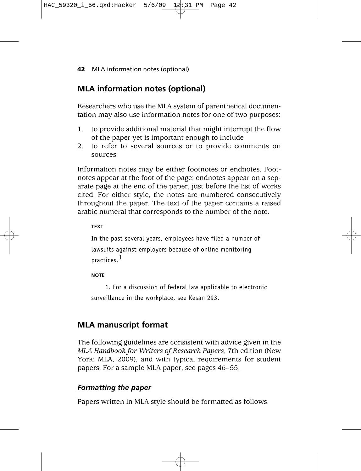### **MLA information notes (optional)**

Researchers who use the MLA system of parenthetical documentation may also use information notes for one of two purposes:

- 1. to provide additional material that might interrupt the flow of the paper yet is important enough to include
- 2. to refer to several sources or to provide comments on sources

Information notes may be either footnotes or endnotes. Footnotes appear at the foot of the page; endnotes appear on a separate page at the end of the paper, just before the list of works cited. For either style, the notes are numbered consecutively throughout the paper. The text of the paper contains a raised arabic numeral that corresponds to the number of the note.

### **TEXT**

In the past several years, employees have filed a number of lawsuits against employers because of online monitoring practices.<sup>1</sup>

### **NOTE**

1. For a discussion of federal law applicable to electronic surveillance in the workplace, see Kesan 293.

### **MLA manuscript format**

The following guidelines are consistent with advice given in the *MLA Handbook for Writers of Research Papers*, 7th edition (New York: MLA, 2009), and with typical requirements for student papers. For a sample MLA paper, see pages 46–55.

### *Formatting the paper*

Papers written in MLA style should be formatted as follows.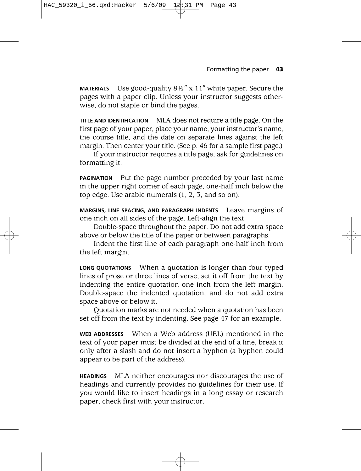**MATERIALS** Use good-quality 8½" x 11" white paper. Secure the pages with a paper clip. Unless your instructor suggests otherwise, do not staple or bind the pages.

**TITLE AND IDENTIFICATION** MLA does not require a title page. On the first page of your paper, place your name, your instructor's name, the course title, and the date on separate lines against the left margin. Then center your title. (See p. 46 for a sample first page.)

If your instructor requires a title page, ask for guidelines on formatting it.

**PAGINATION** Put the page number preceded by your last name in the upper right corner of each page, one-half inch below the top edge. Use arabic numerals (1, 2, 3, and so on).

**MARGINS, LINE SPACING, AND PARAGRAPH INDENTS** Leave margins of one inch on all sides of the page. Left-align the text.

Double-space throughout the paper. Do not add extra space above or below the title of the paper or between paragraphs.

Indent the first line of each paragraph one-half inch from the left margin.

**LONG QUOTATIONS** When a quotation is longer than four typed lines of prose or three lines of verse, set it off from the text by indenting the entire quotation one inch from the left margin. Double-space the indented quotation, and do not add extra space above or below it.

Quotation marks are not needed when a quotation has been set off from the text by indenting. See page 47 for an example.

**WEB ADDRESSES** When a Web address (URL) mentioned in the text of your paper must be divided at the end of a line, break it only after a slash and do not insert a hyphen (a hyphen could appear to be part of the address).

**HEADINGS** MLA neither encourages nor discourages the use of headings and currently provides no guidelines for their use. If you would like to insert headings in a long essay or research paper, check first with your instructor.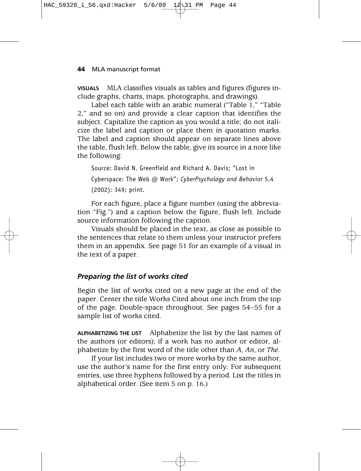**VISUALS** MLA classifies visuals as tables and figures (figures include graphs, charts, maps, photographs, and drawings).

Label each table with an arabic numeral ("Table 1," "Table 2," and so on) and provide a clear caption that identifies the subject. Capitalize the caption as you would a title; do not italicize the label and caption or place them in quotation marks. The label and caption should appear on separate lines above the table, flush left. Below the table, give its source in a note like the following:

Source: David N. Greenfield and Richard A. Davis; "Lost in Cyberspace: The Web @ Work"; *CyberPsychology and Behavior* 5.4 (2002): 349; print.

For each figure, place a figure number (using the abbreviation "Fig.") and a caption below the figure, flush left. Include source information following the caption.

Visuals should be placed in the text, as close as possible to the sentences that relate to them unless your instructor prefers them in an appendix. See page 51 for an example of a visual in the text of a paper.

### *Preparing the list of works cited*

Begin the list of works cited on a new page at the end of the paper. Center the title Works Cited about one inch from the top of the page. Double-space throughout. See pages 54–55 for a sample list of works cited.

**ALPHABETIZING THE LIST** Alphabetize the list by the last names of the authors (or editors); if a work has no author or editor, alphabetize by the first word of the title other than *A*, *An*, or *The*.

If your list includes two or more works by the same author, use the author's name for the first entry only. For subsequent entries, use three hyphens followed by a period. List the titles in alphabetical order. (See item 5 on p. 16.)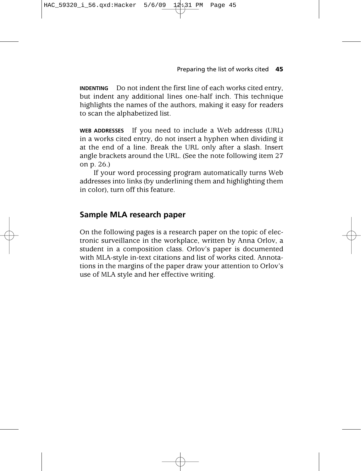**INDENTING** Do not indent the first line of each works cited entry, but indent any additional lines one-half inch. This technique highlights the names of the authors, making it easy for readers to scan the alphabetized list.

**WEB ADDRESSES** If you need to include a Web addresss (URL) in a works cited entry, do not insert a hyphen when dividing it at the end of a line. Break the URL only after a slash. Insert angle brackets around the URL. (See the note following item 27 on p. 26.)

If your word processing program automatically turns Web addresses into links (by underlining them and highlighting them in color), turn off this feature.

### **Sample MLA research paper**

On the following pages is a research paper on the topic of electronic surveillance in the workplace, written by Anna Orlov, a student in a composition class. Orlov's paper is documented with MLA-style in-text citations and list of works cited. Annotations in the margins of the paper draw your attention to Orlov's use of MLA style and her effective writing.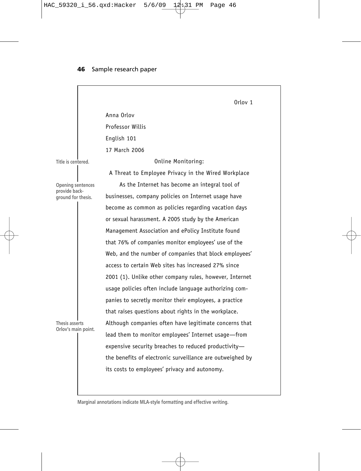#### **46** Sample research paper

Orlov 1 Anna Orlov Professor Willis English 101 17 March 2006 Online Monitoring: A Threat to Employee Privacy in the Wired Workplace As the Internet has become an integral tool of businesses, company policies on Internet usage have become as common as policies regarding vacation days or sexual harassment. A 2005 study by the American Management Association and ePolicy Institute found that 76% of companies monitor employees' use of the Web, and the number of companies that block employees' access to certain Web sites has increased 27% since 2001 (1). Unlike other company rules, however, Internet usage policies often include language authorizing companies to secretly monitor their employees, a practice that raises questions about rights in the workplace. Although companies often have legitimate concerns that lead them to monitor employees' Internet usage—from expensive security breaches to reduced productivity the benefits of electronic surveillance are outweighed by its costs to employees' privacy and autonomy.

**Marginal annotations indicate MLA-style formatting and effective writing.**

**Title is centered.**

**Opening sentences provide background for thesis.**

**Thesis asserts Orlov's main point.**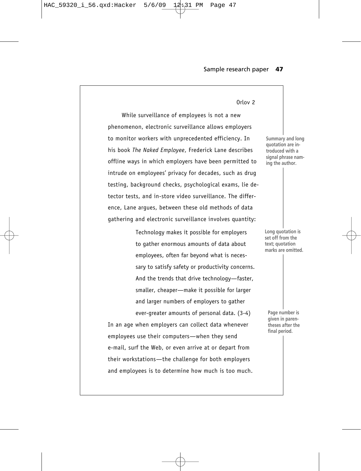#### Orlov 2

While surveillance of employees is not a new phenomenon, electronic surveillance allows employers to monitor workers with unprecedented efficiency. In his book *The Naked Employee*, Frederick Lane describes offline ways in which employers have been permitted to intrude on employees' privacy for decades, such as drug testing, background checks, psychological exams, lie detector tests, and in-store video surveillance. The difference, Lane argues, between these old methods of data gathering and electronic surveillance involves quantity:

> Technology makes it possible for employers to gather enormous amounts of data about employees, often far beyond what is necessary to satisfy safety or productivity concerns. And the trends that drive technology—faster, smaller, cheaper—make it possible for larger and larger numbers of employers to gather ever-greater amounts of personal data. (3-4)

In an age when employers can collect data whenever employees use their computers—when they send e-mail, surf the Web, or even arrive at or depart from their workstations—the challenge for both employers and employees is to determine how much is too much. **Summary and long quotation are introduced with a signal phrase naming the author.**

**Long quotation is set off from the text; quotation marks are omitted.**

**Page number is given in parentheses after the final period.**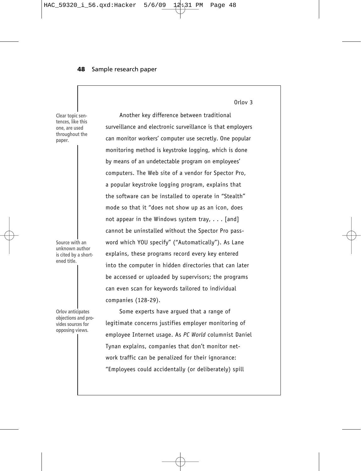#### **48** Sample research paper

Orlov 3

**Clear topic sentences, like this one, are used throughout the paper.**

**Source with an unknown author is cited by a shortened title.**

**Orlov anticipates objections and provides sources for opposing views.**

Another key difference between traditional surveillance and electronic surveillance is that employers can monitor workers' computer use secretly. One popular monitoring method is keystroke logging, which is done by means of an undetectable program on employees' computers. The Web site of a vendor for Spector Pro, a popular keystroke logging program, explains that the software can be installed to operate in "Stealth" mode so that it "does not show up as an icon, does not appear in the Windows system tray, . . . [and] cannot be uninstalled without the Spector Pro password which YOU specify" ("Automatically"). As Lane explains, these programs record every key entered into the computer in hidden directories that can later be accessed or uploaded by supervisors; the programs can even scan for keywords tailored to individual companies (128-29).

Some experts have argued that a range of legitimate concerns justifies employer monitoring of employee Internet usage. As *PC World* columnist Daniel Tynan explains, companies that don't monitor network traffic can be penalized for their ignorance: "Employees could accidentally (or deliberately) spill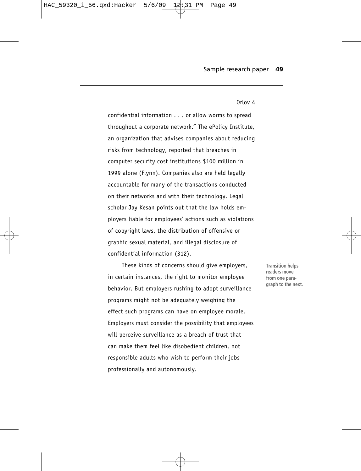#### Orlov 4

confidential information . . . or allow worms to spread throughout a corporate network." The ePolicy Institute, an organization that advises companies about reducing risks from technology, reported that breaches in computer security cost institutions \$100 million in 1999 alone (Flynn). Companies also are held legally accountable for many of the transactions conducted on their networks and with their technology. Legal scholar Jay Kesan points out that the law holds employers liable for employees' actions such as violations of copyright laws, the distribution of offensive or graphic sexual material, and illegal disclosure of confidential information (312).

These kinds of concerns should give employers, in certain instances, the right to monitor employee behavior. But employers rushing to adopt surveillance programs might not be adequately weighing the effect such programs can have on employee morale. Employers must consider the possibility that employees will perceive surveillance as a breach of trust that can make them feel like disobedient children, not responsible adults who wish to perform their jobs professionally and autonomously.

**Transition helps readers move from one paragraph to the next.**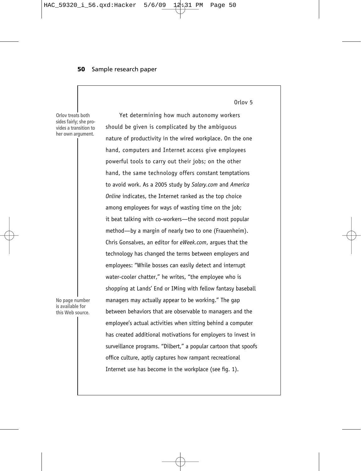#### **50** Sample research paper

Orlov 5

**Orlov treats both sides fairly; she provides a transition to her own argument.**

**No page number is available for this Web source.**

Yet determining how much autonomy workers should be given is complicated by the ambiguous nature of productivity in the wired workplace. On the one hand, computers and Internet access give employees powerful tools to carry out their jobs; on the other hand, the same technology offers constant temptations to avoid work. As a 2005 study by *Salary.com* and *America Online* indicates, the Internet ranked as the top choice among employees for ways of wasting time on the job; it beat talking with co-workers—the second most popular method—by a margin of nearly two to one (Frauenheim). Chris Gonsalves, an editor for *eWeek.com*, argues that the technology has changed the terms between employers and employees: "While bosses can easily detect and interrupt water-cooler chatter," he writes, "the employee who is shopping at Lands' End or IMing with fellow fantasy baseball managers may actually appear to be working." The gap between behaviors that are observable to managers and the employee's actual activities when sitting behind a computer has created additional motivations for employers to invest in surveillance programs. "Dilbert," a popular cartoon that spoofs office culture, aptly captures how rampant recreational Internet use has become in the workplace (see fig. 1).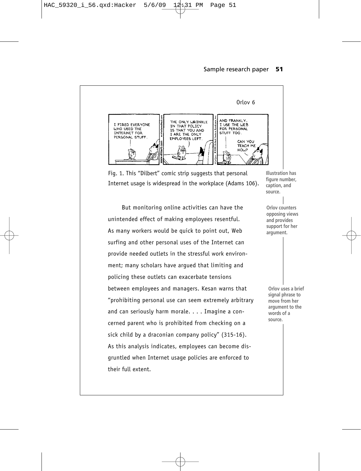

Fig. 1. This "Dilbert" comic strip suggests that personal Internet usage is widespread in the workplace (Adams 106).

But monitoring online activities can have the unintended effect of making employees resentful. As many workers would be quick to point out, Web surfing and other personal uses of the Internet can provide needed outlets in the stressful work environment; many scholars have argued that limiting and policing these outlets can exacerbate tensions between employees and managers. Kesan warns that "prohibiting personal use can seem extremely arbitrary and can seriously harm morale. . . . Imagine a concerned parent who is prohibited from checking on a sick child by a draconian company policy" (315-16). As this analysis indicates, employees can become disgruntled when Internet usage policies are enforced to their full extent.

**Illustration has figure number, caption, and source.**

**Orlov counters opposing views and provides support for her argument.**

**Orlov uses a brief signal phrase to move from her argument to the words of a source.**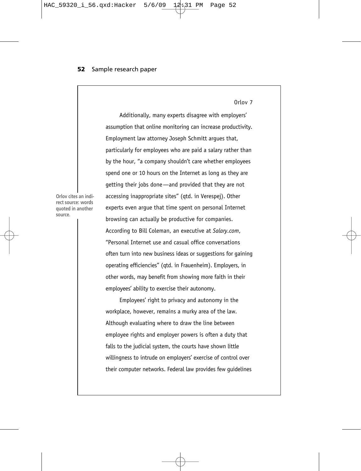#### **52** Sample research paper

Orlov 7

Additionally, many experts disagree with employers' assumption that online monitoring can increase productivity. Employment law attorney Joseph Schmitt argues that, particularly for employees who are paid a salary rather than by the hour, "a company shouldn't care whether employees spend one or 10 hours on the Internet as long as they are getting their jobs done—and provided that they are not accessing inappropriate sites" (qtd. in Verespej). Other experts even argue that time spent on personal Internet browsing can actually be productive for companies. According to Bill Coleman, an executive at *Salary.com*, "Personal Internet use and casual office conversations often turn into new business ideas or suggestions for gaining operating efficiencies" (qtd. in Frauenheim). Employers, in other words, may benefit from showing more faith in their employees' ability to exercise their autonomy.

Employees' right to privacy and autonomy in the workplace, however, remains a murky area of the law. Although evaluating where to draw the line between employee rights and employer powers is often a duty that falls to the judicial system, the courts have shown little willingness to intrude on employers' exercise of control over their computer networks. Federal law provides few guidelines

**Orlov cites an indirect source: words quoted in another source.**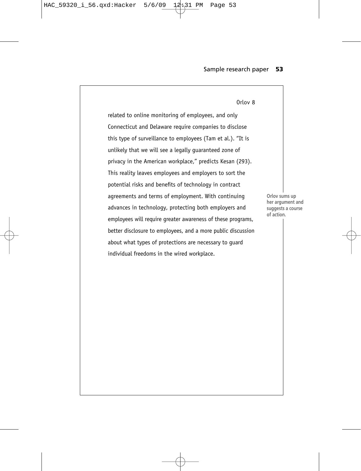Orlov 8 related to online monitoring of employees, and only Connecticut and Delaware require companies to disclose this type of surveillance to employees (Tam et al.). "It is unlikely that we will see a legally guaranteed zone of privacy in the American workplace," predicts Kesan (293). This reality leaves employees and employers to sort the potential risks and benefits of technology in contract agreements and terms of employment. With continuing advances in technology, protecting both employers and employees will require greater awareness of these programs, better disclosure to employees, and a more public discussion about what types of protections are necessary to guard individual freedoms in the wired workplace.

**Orlov sums up her argument and suggests a course of action.**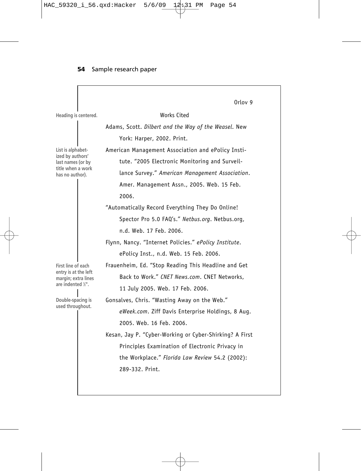### **54** Sample research paper

|                                                                                                    | Orlov <sub>9</sub>                                      |  |
|----------------------------------------------------------------------------------------------------|---------------------------------------------------------|--|
|                                                                                                    |                                                         |  |
| Heading is centered.                                                                               | Works Cited                                             |  |
|                                                                                                    | Adams, Scott. Dilbert and the Way of the Weasel. New    |  |
|                                                                                                    | York: Harper, 2002. Print.                              |  |
| List is alphabet-<br>ized by authors'<br>last names (or by<br>title when a work<br>has no author). | American Management Association and ePolicy Insti-      |  |
|                                                                                                    | tute. "2005 Electronic Monitoring and Surveil-          |  |
|                                                                                                    | lance Survey." American Management Association.         |  |
|                                                                                                    | Amer. Management Assn., 2005. Web. 15 Feb.              |  |
|                                                                                                    | 2006.                                                   |  |
|                                                                                                    | "Automatically Record Everything They Do Online!        |  |
|                                                                                                    | Spector Pro 5.0 FAQ's." Netbus.org. Netbus.org,         |  |
|                                                                                                    | n.d. Web. 17 Feb. 2006.                                 |  |
|                                                                                                    | Flynn, Nancy. "Internet Policies." ePolicy Institute.   |  |
|                                                                                                    | ePolicy Inst., n.d. Web. 15 Feb. 2006.                  |  |
| First line of each<br>entry is at the left<br>margin; extra lines<br>are indented %".              | Frauenheim, Ed. "Stop Reading This Headline and Get     |  |
|                                                                                                    | Back to Work." CNET News.com. CNET Networks,            |  |
|                                                                                                    | 11 July 2005. Web. 17 Feb. 2006.                        |  |
| Double-spacing is<br>used throughout.                                                              | Gonsalves, Chris. "Wasting Away on the Web."            |  |
|                                                                                                    | eWeek.com. Ziff Davis Enterprise Holdings, 8 Aug.       |  |
|                                                                                                    | 2005. Web. 16 Feb. 2006.                                |  |
|                                                                                                    | Kesan, Jay P. "Cyber-Working or Cyber-Shirking? A First |  |
|                                                                                                    | Principles Examination of Electronic Privacy in         |  |
|                                                                                                    | the Workplace." Florida Law Review 54.2 (2002):         |  |
|                                                                                                    | 289-332. Print.                                         |  |
|                                                                                                    |                                                         |  |
|                                                                                                    |                                                         |  |

<u> 1980 - Johann Barn, mars ann an t-Amhain Aonaich an t-Aonaich an t-Aonaich ann an t-Aonaich ann an t-Aonaich</u>